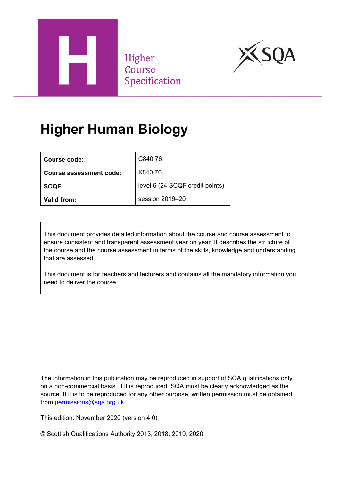

Higher Course Specification



# **Higher Human Biology**

| Course code:            | C840 76                         |
|-------------------------|---------------------------------|
| Course assessment code: | X840 76                         |
| <b>SCQF:</b>            | level 6 (24 SCQF credit points) |
| Valid from:             | session 2019-20                 |

This document provides detailed information about the course and course assessment to ensure consistent and transparent assessment year on year. It describes the structure of the course and the course assessment in terms of the skills, knowledge and understanding that are assessed.

This document is for teachers and lecturers and contains all the mandatory information you need to deliver the course.

The information in this publication may be reproduced in support of SQA qualifications only on a non-commercial basis. If it is reproduced, SQA must be clearly acknowledged as the source. If it is to be reproduced for any other purpose, written permission must be obtained from [permissions@sqa.org.uk.](mailto:permissions@sqa.org.uk)

This edition: November 2020 (version 4.0)

© Scottish Qualifications Authority 2013, 2018, 2019, 2020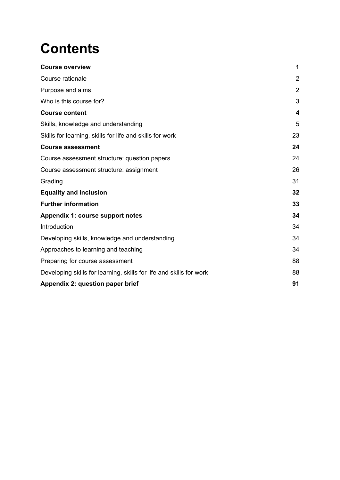# **Contents**

| <b>Course overview</b>                                              | 1                       |
|---------------------------------------------------------------------|-------------------------|
| Course rationale                                                    | $\overline{2}$          |
| Purpose and aims                                                    | $\overline{2}$          |
| Who is this course for?                                             | 3                       |
| <b>Course content</b>                                               | $\overline{\mathbf{4}}$ |
| Skills, knowledge and understanding                                 | 5                       |
| Skills for learning, skills for life and skills for work            | 23                      |
| <b>Course assessment</b>                                            | 24                      |
| Course assessment structure: question papers                        | 24                      |
| Course assessment structure: assignment                             | 26                      |
| Grading                                                             | 31                      |
| <b>Equality and inclusion</b>                                       | 32                      |
| <b>Further information</b>                                          | 33                      |
| Appendix 1: course support notes                                    | 34                      |
| Introduction                                                        | 34                      |
| Developing skills, knowledge and understanding                      | 34                      |
| Approaches to learning and teaching                                 | 34                      |
| Preparing for course assessment                                     | 88                      |
| Developing skills for learning, skills for life and skills for work | 88                      |
| Appendix 2: question paper brief                                    | 91                      |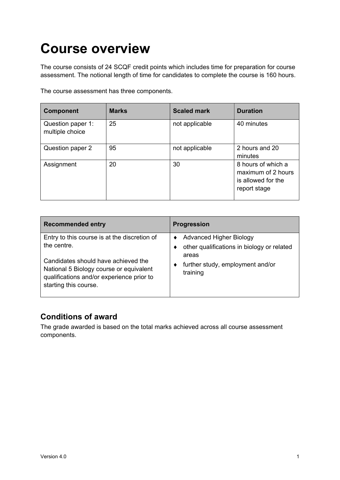# <span id="page-2-0"></span>**Course overview**

The course consists of 24 SCQF credit points which includes time for preparation for course assessment. The notional length of time for candidates to complete the course is 160 hours.

The course assessment has three components.

| <b>Component</b>                     | <b>Marks</b> | <b>Scaled mark</b> | <b>Duration</b>                                                                |
|--------------------------------------|--------------|--------------------|--------------------------------------------------------------------------------|
| Question paper 1:<br>multiple choice | 25           | not applicable     | 40 minutes                                                                     |
| Question paper 2                     | 95           | not applicable     | 2 hours and 20<br>minutes                                                      |
| Assignment                           | 20           | 30                 | 8 hours of which a<br>maximum of 2 hours<br>is allowed for the<br>report stage |

| <b>Recommended entry</b>                                                                                                                             | <b>Progression</b>                                                           |
|------------------------------------------------------------------------------------------------------------------------------------------------------|------------------------------------------------------------------------------|
| Entry to this course is at the discretion of<br>the centre.                                                                                          | <b>Advanced Higher Biology</b><br>other qualifications in biology or related |
| Candidates should have achieved the<br>National 5 Biology course or equivalent<br>qualifications and/or experience prior to<br>starting this course. | areas<br>further study, employment and/or<br>training                        |

### **Conditions of award**

The grade awarded is based on the total marks achieved across all course assessment components.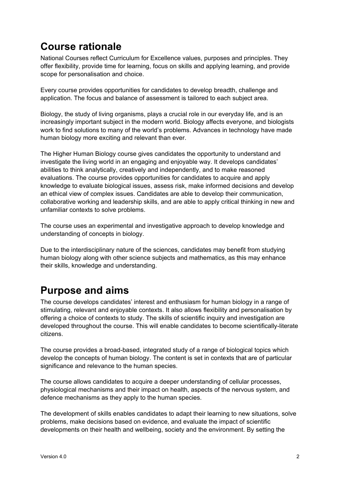### <span id="page-3-0"></span>**Course rationale**

National Courses reflect Curriculum for Excellence values, purposes and principles. They offer flexibility, provide time for learning, focus on skills and applying learning, and provide scope for personalisation and choice.

Every course provides opportunities for candidates to develop breadth, challenge and application. The focus and balance of assessment is tailored to each subject area.

Biology, the study of living organisms, plays a crucial role in our everyday life, and is an increasingly important subject in the modern world. Biology affects everyone, and biologists work to find solutions to many of the world's problems. Advances in technology have made human biology more exciting and relevant than ever.

The Higher Human Biology course gives candidates the opportunity to understand and investigate the living world in an engaging and enjoyable way. It develops candidates' abilities to think analytically, creatively and independently, and to make reasoned evaluations. The course provides opportunities for candidates to acquire and apply knowledge to evaluate biological issues, assess risk, make informed decisions and develop an ethical view of complex issues. Candidates are able to develop their communication, collaborative working and leadership skills, and are able to apply critical thinking in new and unfamiliar contexts to solve problems.

The course uses an experimental and investigative approach to develop knowledge and understanding of concepts in biology.

Due to the interdisciplinary nature of the sciences, candidates may benefit from studying human biology along with other science subjects and mathematics, as this may enhance their skills, knowledge and understanding.

## <span id="page-3-1"></span>**Purpose and aims**

The course develops candidates' interest and enthusiasm for human biology in a range of stimulating, relevant and enjoyable contexts. It also allows flexibility and personalisation by offering a choice of contexts to study. The skills of scientific inquiry and investigation are developed throughout the course. This will enable candidates to become scientifically-literate citizens.

The course provides a broad-based, integrated study of a range of biological topics which develop the concepts of human biology. The content is set in contexts that are of particular significance and relevance to the human species.

The course allows candidates to acquire a deeper understanding of cellular processes, physiological mechanisms and their impact on health, aspects of the nervous system, and defence mechanisms as they apply to the human species.

The development of skills enables candidates to adapt their learning to new situations, solve problems, make decisions based on evidence, and evaluate the impact of scientific developments on their health and wellbeing, society and the environment. By setting the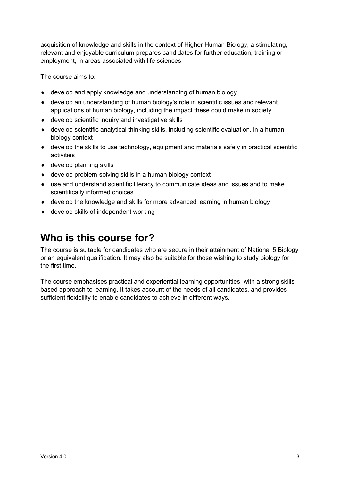acquisition of knowledge and skills in the context of Higher Human Biology, a stimulating, relevant and enjoyable curriculum prepares candidates for further education, training or employment, in areas associated with life sciences.

The course aims to:

- ♦ develop and apply knowledge and understanding of human biology
- ♦ develop an understanding of human biology's role in scientific issues and relevant applications of human biology, including the impact these could make in society
- ♦ develop scientific inquiry and investigative skills
- ♦ develop scientific analytical thinking skills, including scientific evaluation, in a human biology context
- $\bullet$  develop the skills to use technology, equipment and materials safely in practical scientific activities
- $\triangleleft$  develop planning skills
- ♦ develop problem-solving skills in a human biology context
- $\bullet$  use and understand scientific literacy to communicate ideas and issues and to make scientifically informed choices
- ♦ develop the knowledge and skills for more advanced learning in human biology
- ♦ develop skills of independent working

### <span id="page-4-0"></span>**Who is this course for?**

The course is suitable for candidates who are secure in their attainment of National 5 Biology or an equivalent qualification. It may also be suitable for those wishing to study biology for the first time.

The course emphasises practical and experiential learning opportunities, with a strong skillsbased approach to learning. It takes account of the needs of all candidates, and provides sufficient flexibility to enable candidates to achieve in different ways.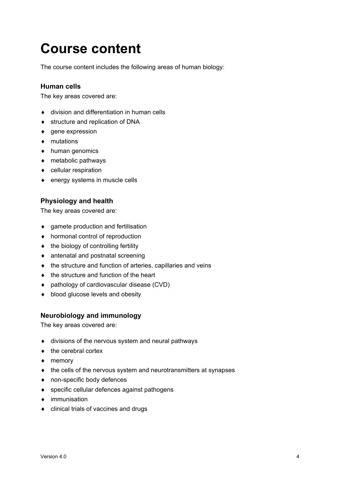# <span id="page-5-0"></span>**Course content**

The course content includes the following areas of human biology:

#### **Human cells**

The key areas covered are:

- ♦ division and differentiation in human cells
- ♦ structure and replication of DNA
- ♦ gene expression
- ♦ mutations
- ♦ human genomics
- ♦ metabolic pathways
- ♦ cellular respiration
- ♦ energy systems in muscle cells

#### **Physiology and health**

The key areas covered are:

- ♦ gamete production and fertilisation
- ♦ hormonal control of reproduction
- ♦ the biology of controlling fertility
- ♦ antenatal and postnatal screening
- ♦ the structure and function of arteries, capillaries and veins
- ♦ the structure and function of the heart
- ♦ pathology of cardiovascular disease (CVD)
- ♦ blood glucose levels and obesity

#### **Neurobiology and immunology**

The key areas covered are:

- ♦ divisions of the nervous system and neural pathways
- ♦ the cerebral cortex
- ♦ memory
- ♦ the cells of the nervous system and neurotransmitters at synapses
- ♦ non-specific body defences
- ♦ specific cellular defences against pathogens
- ♦ immunisation
- ♦ clinical trials of vaccines and drugs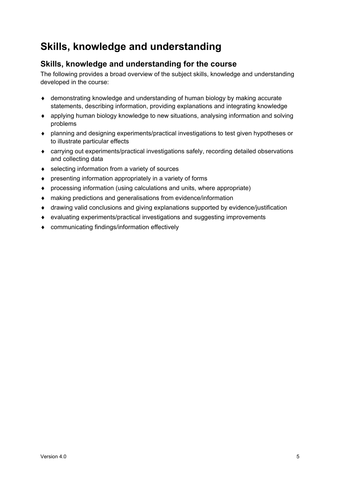## <span id="page-6-0"></span>**Skills, knowledge and understanding**

### **Skills, knowledge and understanding for the course**

The following provides a broad overview of the subject skills, knowledge and understanding developed in the course:

- ♦ demonstrating knowledge and understanding of human biology by making accurate statements, describing information, providing explanations and integrating knowledge
- ♦ applying human biology knowledge to new situations, analysing information and solving problems
- ♦ planning and designing experiments/practical investigations to test given hypotheses or to illustrate particular effects
- ♦ carrying out experiments/practical investigations safely, recording detailed observations and collecting data
- ♦ selecting information from a variety of sources
- ♦ presenting information appropriately in a variety of forms
- ♦ processing information (using calculations and units, where appropriate)
- ♦ making predictions and generalisations from evidence/information
- ♦ drawing valid conclusions and giving explanations supported by evidence/justification
- ♦ evaluating experiments/practical investigations and suggesting improvements
- ♦ communicating findings/information effectively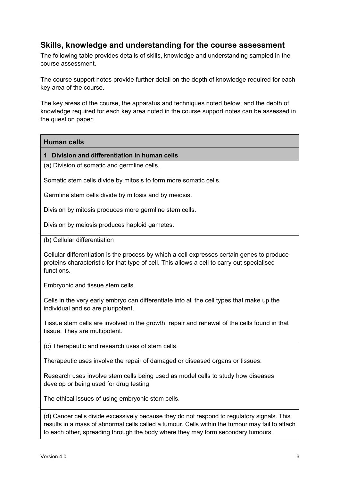### **Skills, knowledge and understanding for the course assessment**

The following table provides details of skills, knowledge and understanding sampled in the course assessment.

The course support notes provide further detail on the depth of knowledge required for each key area of the course.

The key areas of the course, the apparatus and techniques noted below, and the depth of knowledge required for each key area noted in the course support notes can be assessed in the question paper.

#### **Human cells**

#### **1 Division and differentiation in human cells**

(a) Division of somatic and germline cells.

Somatic stem cells divide by mitosis to form more somatic cells.

Germline stem cells divide by mitosis and by meiosis.

Division by mitosis produces more germline stem cells.

Division by meiosis produces haploid gametes.

(b) Cellular differentiation

Cellular differentiation is the process by which a cell expresses certain genes to produce proteins characteristic for that type of cell. This allows a cell to carry out specialised functions.

Embryonic and tissue stem cells.

Cells in the very early embryo can differentiate into all the cell types that make up the individual and so are pluripotent.

Tissue stem cells are involved in the growth, repair and renewal of the cells found in that tissue. They are multipotent.

(c) Therapeutic and research uses of stem cells.

Therapeutic uses involve the repair of damaged or diseased organs or tissues.

Research uses involve stem cells being used as model cells to study how diseases develop or being used for drug testing.

The ethical issues of using embryonic stem cells.

(d) Cancer cells divide excessively because they do not respond to regulatory signals. This results in a mass of abnormal cells called a tumour. Cells within the tumour may fail to attach to each other, spreading through the body where they may form secondary tumours.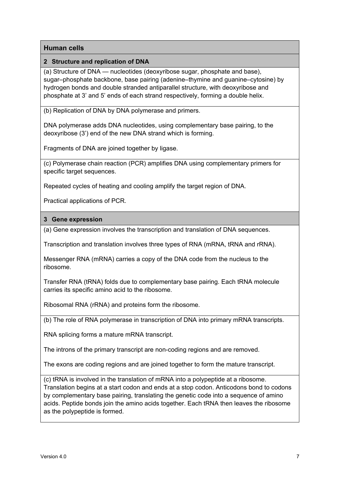#### **2 Structure and replication of DNA**

(a) Structure of DNA — nucleotides (deoxyribose sugar, phosphate and base), sugar–phosphate backbone, base pairing (adenine–thymine and guanine–cytosine) by hydrogen bonds and double stranded antiparallel structure, with deoxyribose and phosphate at 3' and 5' ends of each strand respectively, forming a double helix.

(b) Replication of DNA by DNA polymerase and primers.

DNA polymerase adds DNA nucleotides, using complementary base pairing, to the deoxyribose (3') end of the new DNA strand which is forming.

Fragments of DNA are joined together by ligase.

(c) Polymerase chain reaction (PCR) amplifies DNA using complementary primers for specific target sequences.

Repeated cycles of heating and cooling amplify the target region of DNA.

Practical applications of PCR.

#### **3 Gene expression**

(a) Gene expression involves the transcription and translation of DNA sequences.

Transcription and translation involves three types of RNA (mRNA, tRNA and rRNA).

Messenger RNA (mRNA) carries a copy of the DNA code from the nucleus to the ribosome.

Transfer RNA (tRNA) folds due to complementary base pairing. Each tRNA molecule carries its specific amino acid to the ribosome.

Ribosomal RNA (rRNA) and proteins form the ribosome.

(b) The role of RNA polymerase in transcription of DNA into primary mRNA transcripts.

RNA splicing forms a mature mRNA transcript.

The introns of the primary transcript are non-coding regions and are removed.

The exons are coding regions and are joined together to form the mature transcript.

(c) tRNA is involved in the translation of mRNA into a polypeptide at a ribosome. Translation begins at a start codon and ends at a stop codon. Anticodons bond to codons by complementary base pairing, translating the genetic code into a sequence of amino acids. Peptide bonds join the amino acids together. Each tRNA then leaves the ribosome as the polypeptide is formed.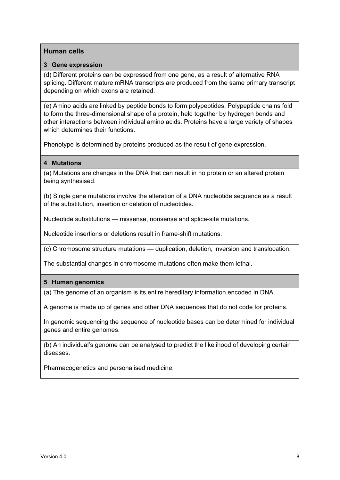#### **3 Gene expression**

(d) Different proteins can be expressed from one gene, as a result of alternative RNA splicing. Different mature mRNA transcripts are produced from the same primary transcript depending on which exons are retained.

(e) Amino acids are linked by peptide bonds to form polypeptides. Polypeptide chains fold to form the three-dimensional shape of a protein, held together by hydrogen bonds and other interactions between individual amino acids. Proteins have a large variety of shapes which determines their functions.

Phenotype is determined by proteins produced as the result of gene expression.

#### **4 Mutations**

(a) Mutations are changes in the DNA that can result in no protein or an altered protein being synthesised.

(b) Single gene mutations involve the alteration of a DNA nucleotide sequence as a result of the substitution, insertion or deletion of nucleotides.

Nucleotide substitutions — missense, nonsense and splice-site mutations.

Nucleotide insertions or deletions result in frame-shift mutations.

(c) Chromosome structure mutations — duplication, deletion, inversion and translocation.

The substantial changes in chromosome mutations often make them lethal.

#### **5 Human genomics**

(a) The genome of an organism is its entire hereditary information encoded in DNA.

A genome is made up of genes and other DNA sequences that do not code for proteins.

In genomic sequencing the sequence of nucleotide bases can be determined for individual genes and entire genomes.

(b) An individual's genome can be analysed to predict the likelihood of developing certain diseases.

Pharmacogenetics and personalised medicine.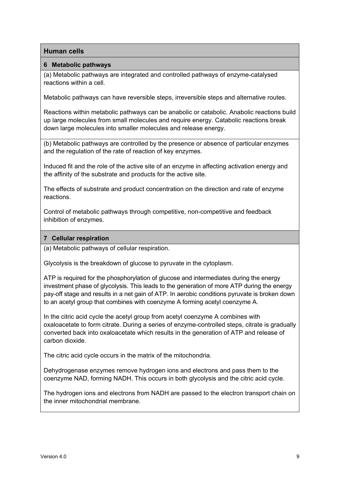#### **6 Metabolic pathways**

(a) Metabolic pathways are integrated and controlled pathways of enzyme-catalysed reactions within a cell.

Metabolic pathways can have reversible steps, irreversible steps and alternative routes.

Reactions within metabolic pathways can be anabolic or catabolic. Anabolic reactions build up large molecules from small molecules and require energy. Catabolic reactions break down large molecules into smaller molecules and release energy.

(b) Metabolic pathways are controlled by the presence or absence of particular enzymes and the regulation of the rate of reaction of key enzymes.

Induced fit and the role of the active site of an enzyme in affecting activation energy and the affinity of the substrate and products for the active site.

The effects of substrate and product concentration on the direction and rate of enzyme reactions.

Control of metabolic pathways through competitive, non-competitive and feedback inhibition of enzymes.

#### **7 Cellular respiration**

(a) Metabolic pathways of cellular respiration.

Glycolysis is the breakdown of glucose to pyruvate in the cytoplasm.

ATP is required for the phosphorylation of glucose and intermediates during the energy investment phase of glycolysis. This leads to the generation of more ATP during the energy pay-off stage and results in a net gain of ATP. In aerobic conditions pyruvate is broken down to an acetyl group that combines with coenzyme A forming acetyl coenzyme A.

In the citric acid cycle the acetyl group from acetyl coenzyme A combines with oxaloacetate to form citrate. During a series of enzyme-controlled steps, citrate is gradually converted back into oxaloacetate which results in the generation of ATP and release of carbon dioxide.

The citric acid cycle occurs in the matrix of the mitochondria.

Dehydrogenase enzymes remove hydrogen ions and electrons and pass them to the coenzyme NAD, forming NADH. This occurs in both glycolysis and the citric acid cycle.

The hydrogen ions and electrons from NADH are passed to the electron transport chain on the inner mitochondrial membrane.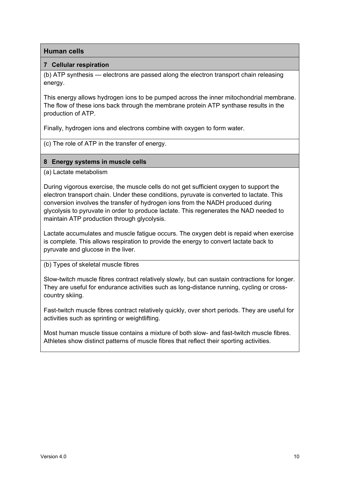#### **7 Cellular respiration**

(b) ATP synthesis — electrons are passed along the electron transport chain releasing energy.

This energy allows hydrogen ions to be pumped across the inner mitochondrial membrane. The flow of these ions back through the membrane protein ATP synthase results in the production of ATP.

Finally, hydrogen ions and electrons combine with oxygen to form water.

(c) The role of ATP in the transfer of energy.

#### **8 Energy systems in muscle cells**

(a) Lactate metabolism

During vigorous exercise, the muscle cells do not get sufficient oxygen to support the electron transport chain. Under these conditions, pyruvate is converted to lactate. This conversion involves the transfer of hydrogen ions from the NADH produced during glycolysis to pyruvate in order to produce lactate. This regenerates the NAD needed to maintain ATP production through glycolysis.

Lactate accumulates and muscle fatigue occurs. The oxygen debt is repaid when exercise is complete. This allows respiration to provide the energy to convert lactate back to pyruvate and glucose in the liver.

(b) Types of skeletal muscle fibres

Slow-twitch muscle fibres contract relatively slowly, but can sustain contractions for longer. They are useful for endurance activities such as long-distance running, cycling or crosscountry skiing.

Fast-twitch muscle fibres contract relatively quickly, over short periods. They are useful for activities such as sprinting or weightlifting.

Most human muscle tissue contains a mixture of both slow- and fast-twitch muscle fibres. Athletes show distinct patterns of muscle fibres that reflect their sporting activities.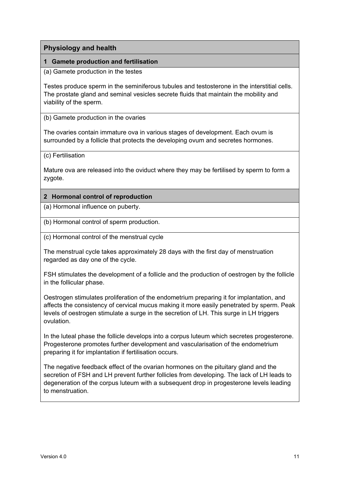#### **1 Gamete production and fertilisation**

(a) Gamete production in the testes

Testes produce sperm in the seminiferous tubules and testosterone in the interstitial cells. The prostate gland and seminal vesicles secrete fluids that maintain the mobility and viability of the sperm.

(b) Gamete production in the ovaries

The ovaries contain immature ova in various stages of development. Each ovum is surrounded by a follicle that protects the developing ovum and secretes hormones.

(c) Fertilisation

Mature ova are released into the oviduct where they may be fertilised by sperm to form a zygote.

#### **2 Hormonal control of reproduction**

(a) Hormonal influence on puberty.

(b) Hormonal control of sperm production.

(c) Hormonal control of the menstrual cycle

The menstrual cycle takes approximately 28 days with the first day of menstruation regarded as day one of the cycle.

FSH stimulates the development of a follicle and the production of oestrogen by the follicle in the follicular phase.

Oestrogen stimulates proliferation of the endometrium preparing it for implantation, and affects the consistency of cervical mucus making it more easily penetrated by sperm. Peak levels of oestrogen stimulate a surge in the secretion of LH. This surge in LH triggers ovulation.

In the luteal phase the follicle develops into a corpus luteum which secretes progesterone. Progesterone promotes further development and vascularisation of the endometrium preparing it for implantation if fertilisation occurs.

The negative feedback effect of the ovarian hormones on the pituitary gland and the secretion of FSH and LH prevent further follicles from developing. The lack of LH leads to degeneration of the corpus luteum with a subsequent drop in progesterone levels leading to menstruation.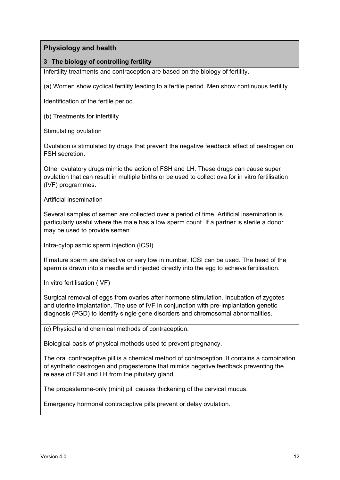#### **3 The biology of controlling fertility**

Infertility treatments and contraception are based on the biology of fertility.

(a) Women show cyclical fertility leading to a fertile period. Men show continuous fertility.

Identification of the fertile period.

(b) Treatments for infertility

Stimulating ovulation

Ovulation is stimulated by drugs that prevent the negative feedback effect of oestrogen on FSH secretion.

Other ovulatory drugs mimic the action of FSH and LH. These drugs can cause super ovulation that can result in multiple births or be used to collect ova for in vitro fertilisation (IVF) programmes.

Artificial insemination

Several samples of semen are collected over a period of time. Artificial insemination is particularly useful where the male has a low sperm count. If a partner is sterile a donor may be used to provide semen.

Intra-cytoplasmic sperm injection (ICSI)

If mature sperm are defective or very low in number, ICSI can be used. The head of the sperm is drawn into a needle and injected directly into the egg to achieve fertilisation.

In vitro fertilisation (IVF)

Surgical removal of eggs from ovaries after hormone stimulation. Incubation of zygotes and uterine implantation. The use of IVF in conjunction with pre-implantation genetic diagnosis (PGD) to identify single gene disorders and chromosomal abnormalities.

(c) Physical and chemical methods of contraception.

Biological basis of physical methods used to prevent pregnancy.

The oral contraceptive pill is a chemical method of contraception. It contains a combination of synthetic oestrogen and progesterone that mimics negative feedback preventing the release of FSH and LH from the pituitary gland.

The progesterone-only (mini) pill causes thickening of the cervical mucus.

Emergency hormonal contraceptive pills prevent or delay ovulation.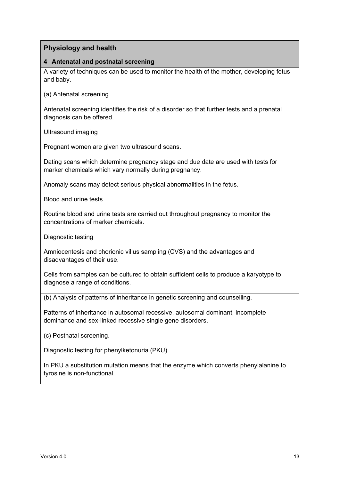#### **4 Antenatal and postnatal screening**

A variety of techniques can be used to monitor the health of the mother, developing fetus and baby.

(a) Antenatal screening

Antenatal screening identifies the risk of a disorder so that further tests and a prenatal diagnosis can be offered.

Ultrasound imaging

Pregnant women are given two ultrasound scans.

Dating scans which determine pregnancy stage and due date are used with tests for marker chemicals which vary normally during pregnancy.

Anomaly scans may detect serious physical abnormalities in the fetus.

Blood and urine tests

Routine blood and urine tests are carried out throughout pregnancy to monitor the concentrations of marker chemicals.

Diagnostic testing

Amniocentesis and chorionic villus sampling (CVS) and the advantages and disadvantages of their use.

Cells from samples can be cultured to obtain sufficient cells to produce a karyotype to diagnose a range of conditions.

(b) Analysis of patterns of inheritance in genetic screening and counselling.

Patterns of inheritance in autosomal recessive, autosomal dominant, incomplete dominance and sex-linked recessive single gene disorders.

(c) Postnatal screening.

Diagnostic testing for phenylketonuria (PKU).

In PKU a substitution mutation means that the enzyme which converts phenylalanine to tyrosine is non-functional.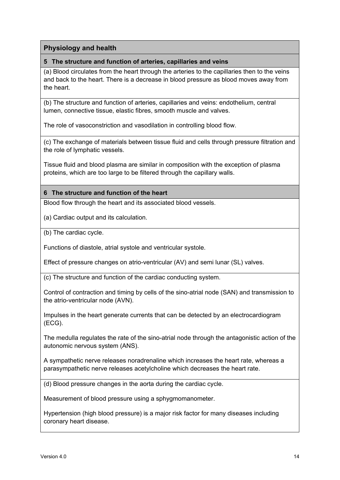#### **5 The structure and function of arteries, capillaries and veins**

(a) Blood circulates from the heart through the arteries to the capillaries then to the veins and back to the heart. There is a decrease in blood pressure as blood moves away from the heart.

(b) The structure and function of arteries, capillaries and veins: endothelium, central lumen, connective tissue, elastic fibres, smooth muscle and valves.

The role of vasoconstriction and vasodilation in controlling blood flow.

(c) The exchange of materials between tissue fluid and cells through pressure filtration and the role of lymphatic vessels.

Tissue fluid and blood plasma are similar in composition with the exception of plasma proteins, which are too large to be filtered through the capillary walls.

#### **6 The structure and function of the heart**

Blood flow through the heart and its associated blood vessels.

(a) Cardiac output and its calculation.

(b) The cardiac cycle.

Functions of diastole, atrial systole and ventricular systole.

Effect of pressure changes on atrio-ventricular (AV) and semi lunar (SL) valves.

(c) The structure and function of the cardiac conducting system.

Control of contraction and timing by cells of the sino-atrial node (SAN) and transmission to the atrio-ventricular node (AVN).

Impulses in the heart generate currents that can be detected by an electrocardiogram (ECG).

The medulla regulates the rate of the sino-atrial node through the antagonistic action of the autonomic nervous system (ANS).

A sympathetic nerve releases noradrenaline which increases the heart rate, whereas a parasympathetic nerve releases acetylcholine which decreases the heart rate.

(d) Blood pressure changes in the aorta during the cardiac cycle.

Measurement of blood pressure using a sphygmomanometer.

Hypertension (high blood pressure) is a major risk factor for many diseases including coronary heart disease.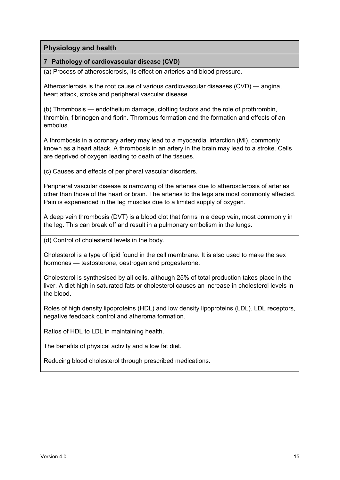#### **7 Pathology of cardiovascular disease (CVD)**

(a) Process of atherosclerosis, its effect on arteries and blood pressure.

Atherosclerosis is the root cause of various cardiovascular diseases (CVD) — angina, heart attack, stroke and peripheral vascular disease.

(b) Thrombosis — endothelium damage, clotting factors and the role of prothrombin, thrombin, fibrinogen and fibrin. Thrombus formation and the formation and effects of an embolus.

A thrombosis in a coronary artery may lead to a myocardial infarction (MI), commonly known as a heart attack. A thrombosis in an artery in the brain may lead to a stroke. Cells are deprived of oxygen leading to death of the tissues.

(c) Causes and effects of peripheral vascular disorders.

Peripheral vascular disease is narrowing of the arteries due to atherosclerosis of arteries other than those of the heart or brain. The arteries to the legs are most commonly affected. Pain is experienced in the leg muscles due to a limited supply of oxygen.

A deep vein thrombosis (DVT) is a blood clot that forms in a deep vein, most commonly in the leg. This can break off and result in a pulmonary embolism in the lungs.

(d) Control of cholesterol levels in the body.

Cholesterol is a type of lipid found in the cell membrane. It is also used to make the sex hormones — testosterone, oestrogen and progesterone.

Cholesterol is synthesised by all cells, although 25% of total production takes place in the liver. A diet high in saturated fats or cholesterol causes an increase in cholesterol levels in the blood.

Roles of high density lipoproteins (HDL) and low density lipoproteins (LDL). LDL receptors, negative feedback control and atheroma formation.

Ratios of HDL to LDL in maintaining health.

The benefits of physical activity and a low fat diet.

Reducing blood cholesterol through prescribed medications.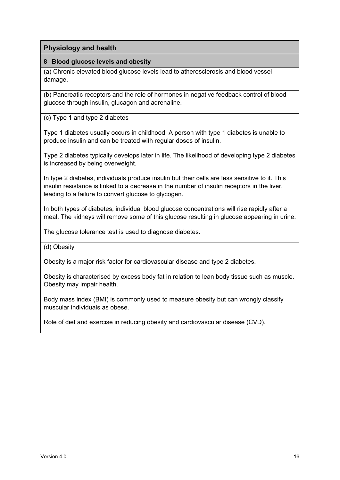#### **8 Blood glucose levels and obesity**

(a) Chronic elevated blood glucose levels lead to atherosclerosis and blood vessel damage.

(b) Pancreatic receptors and the role of hormones in negative feedback control of blood glucose through insulin, glucagon and adrenaline.

(c) Type 1 and type 2 diabetes

Type 1 diabetes usually occurs in childhood. A person with type 1 diabetes is unable to produce insulin and can be treated with regular doses of insulin.

Type 2 diabetes typically develops later in life. The likelihood of developing type 2 diabetes is increased by being overweight.

In type 2 diabetes, individuals produce insulin but their cells are less sensitive to it. This insulin resistance is linked to a decrease in the number of insulin receptors in the liver, leading to a failure to convert glucose to glycogen.

In both types of diabetes, individual blood glucose concentrations will rise rapidly after a meal. The kidneys will remove some of this glucose resulting in glucose appearing in urine.

The glucose tolerance test is used to diagnose diabetes.

#### (d) Obesity

Obesity is a major risk factor for cardiovascular disease and type 2 diabetes.

Obesity is characterised by excess body fat in relation to lean body tissue such as muscle. Obesity may impair health.

Body mass index (BMI) is commonly used to measure obesity but can wrongly classify muscular individuals as obese.

Role of diet and exercise in reducing obesity and cardiovascular disease (CVD).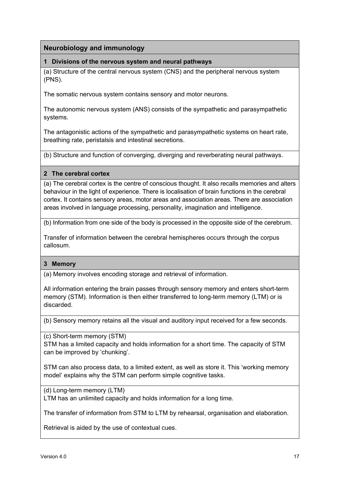#### **1 Divisions of the nervous system and neural pathways**

(a) Structure of the central nervous system (CNS) and the peripheral nervous system (PNS).

The somatic nervous system contains sensory and motor neurons.

The autonomic nervous system (ANS) consists of the sympathetic and parasympathetic systems.

The antagonistic actions of the sympathetic and parasympathetic systems on heart rate, breathing rate, peristalsis and intestinal secretions.

(b) Structure and function of converging, diverging and reverberating neural pathways.

#### **2 The cerebral cortex**

(a) The cerebral cortex is the centre of conscious thought. It also recalls memories and alters behaviour in the light of experience. There is localisation of brain functions in the cerebral cortex. It contains sensory areas, motor areas and association areas. There are association areas involved in language processing, personality, imagination and intelligence.

(b) Information from one side of the body is processed in the opposite side of the cerebrum.

Transfer of information between the cerebral hemispheres occurs through the corpus callosum.

#### **3 Memory**

(a) Memory involves encoding storage and retrieval of information.

All information entering the brain passes through sensory memory and enters short-term memory (STM). Information is then either transferred to long-term memory (LTM) or is discarded.

(b) Sensory memory retains all the visual and auditory input received for a few seconds.

(c) Short-term memory (STM)

STM has a limited capacity and holds information for a short time. The capacity of STM can be improved by 'chunking'.

STM can also process data, to a limited extent, as well as store it. This 'working memory model' explains why the STM can perform simple cognitive tasks.

(d) Long-term memory (LTM)

LTM has an unlimited capacity and holds information for a long time.

The transfer of information from STM to LTM by rehearsal, organisation and elaboration.

Retrieval is aided by the use of contextual cues.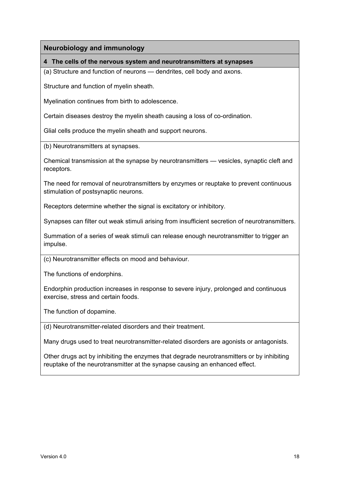#### **4 The cells of the nervous system and neurotransmitters at synapses**

(a) Structure and function of neurons — dendrites, cell body and axons.

Structure and function of myelin sheath.

Myelination continues from birth to adolescence.

Certain diseases destroy the myelin sheath causing a loss of co-ordination.

Glial cells produce the myelin sheath and support neurons.

(b) Neurotransmitters at synapses.

Chemical transmission at the synapse by neurotransmitters — vesicles, synaptic cleft and receptors.

The need for removal of neurotransmitters by enzymes or reuptake to prevent continuous stimulation of postsynaptic neurons.

Receptors determine whether the signal is excitatory or inhibitory.

Synapses can filter out weak stimuli arising from insufficient secretion of neurotransmitters.

Summation of a series of weak stimuli can release enough neurotransmitter to trigger an impulse.

(c) Neurotransmitter effects on mood and behaviour.

The functions of endorphins.

Endorphin production increases in response to severe injury, prolonged and continuous exercise, stress and certain foods.

The function of dopamine.

(d) Neurotransmitter-related disorders and their treatment.

Many drugs used to treat neurotransmitter-related disorders are agonists or antagonists.

Other drugs act by inhibiting the enzymes that degrade neurotransmitters or by inhibiting reuptake of the neurotransmitter at the synapse causing an enhanced effect.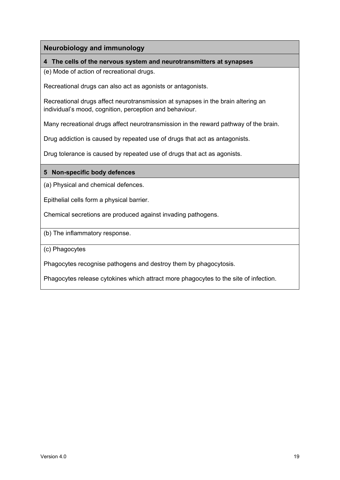#### **4 The cells of the nervous system and neurotransmitters at synapses**

(e) Mode of action of recreational drugs.

Recreational drugs can also act as agonists or antagonists.

Recreational drugs affect neurotransmission at synapses in the brain altering an individual's mood, cognition, perception and behaviour.

Many recreational drugs affect neurotransmission in the reward pathway of the brain.

Drug addiction is caused by repeated use of drugs that act as antagonists.

Drug tolerance is caused by repeated use of drugs that act as agonists.

#### **5 Non-specific body defences**

(a) Physical and chemical defences.

Epithelial cells form a physical barrier.

Chemical secretions are produced against invading pathogens.

(b) The inflammatory response.

(c) Phagocytes

Phagocytes recognise pathogens and destroy them by phagocytosis.

Phagocytes release cytokines which attract more phagocytes to the site of infection.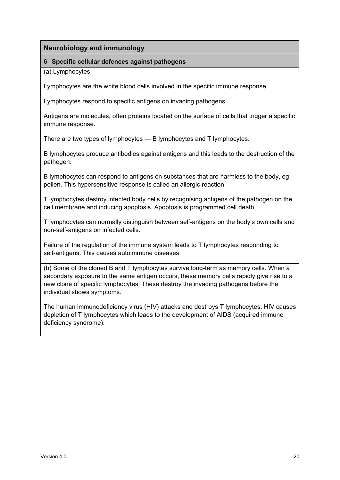#### **6 Specific cellular defences against pathogens**

(a) Lymphocytes

Lymphocytes are the white blood cells involved in the specific immune response.

Lymphocytes respond to specific antigens on invading pathogens.

Antigens are molecules, often proteins located on the surface of cells that trigger a specific immune response.

There are two types of lymphocytes — B lymphocytes and T lymphocytes.

B lymphocytes produce antibodies against antigens and this leads to the destruction of the pathogen.

B lymphocytes can respond to antigens on substances that are harmless to the body, eg pollen. This hypersensitive response is called an allergic reaction.

T lymphocytes destroy infected body cells by recognising antigens of the pathogen on the cell membrane and inducing apoptosis. Apoptosis is programmed cell death.

T lymphocytes can normally distinguish between self-antigens on the body's own cells and non-self-antigens on infected cells.

Failure of the regulation of the immune system leads to T lymphocytes responding to self-antigens. This causes autoimmune diseases.

(b) Some of the cloned B and T lymphocytes survive long-term as memory cells. When a secondary exposure to the same antigen occurs, these memory cells rapidly give rise to a new clone of specific lymphocytes. These destroy the invading pathogens before the individual shows symptoms.

The human immunodeficiency virus (HIV) attacks and destroys T lymphocytes. HIV causes depletion of T lymphocytes which leads to the development of AIDS (acquired immune deficiency syndrome).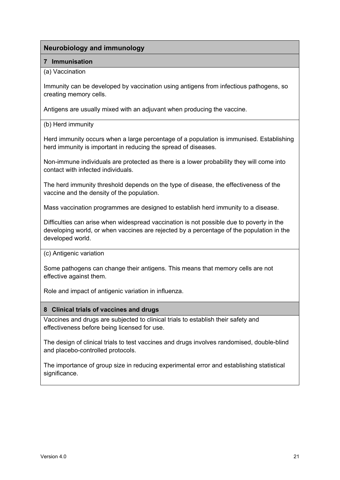#### **7 Immunisation**

#### (a) Vaccination

Immunity can be developed by vaccination using antigens from infectious pathogens, so creating memory cells.

Antigens are usually mixed with an adjuvant when producing the vaccine.

#### (b) Herd immunity

Herd immunity occurs when a large percentage of a population is immunised. Establishing herd immunity is important in reducing the spread of diseases.

Non-immune individuals are protected as there is a lower probability they will come into contact with infected individuals.

The herd immunity threshold depends on the type of disease, the effectiveness of the vaccine and the density of the population.

Mass vaccination programmes are designed to establish herd immunity to a disease.

Difficulties can arise when widespread vaccination is not possible due to poverty in the developing world, or when vaccines are rejected by a percentage of the population in the developed world.

#### (c) Antigenic variation

Some pathogens can change their antigens. This means that memory cells are not effective against them.

Role and impact of antigenic variation in influenza.

#### **8 Clinical trials of vaccines and drugs**

Vaccines and drugs are subjected to clinical trials to establish their safety and effectiveness before being licensed for use.

The design of clinical trials to test vaccines and drugs involves randomised, double-blind and placebo-controlled protocols.

The importance of group size in reducing experimental error and establishing statistical significance.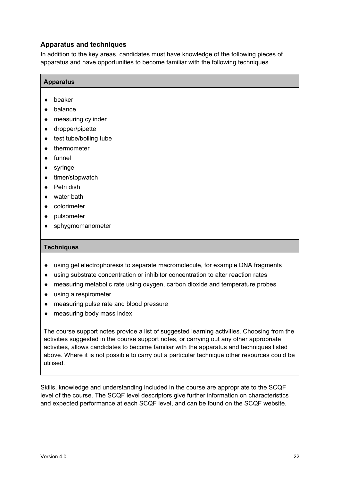#### **Apparatus and techniques**

In addition to the key areas, candidates must have knowledge of the following pieces of apparatus and have opportunities to become familiar with the following techniques.

#### **Apparatus**

- ♦ beaker
- ♦ balance
- ♦ measuring cylinder
- ♦ dropper/pipette
- $\triangleleft$  test tube/boiling tube
- ♦ thermometer
- ♦ funnel
- $\bullet$  syringe
- ♦ timer/stopwatch
- ♦ Petri dish
- ♦ water bath
- ♦ colorimeter
- ♦ pulsometer
- ♦ sphygmomanometer

#### **Techniques**

- ♦ using gel electrophoresis to separate macromolecule, for example DNA fragments
- ♦ using substrate concentration or inhibitor concentration to alter reaction rates
- ♦ measuring metabolic rate using oxygen, carbon dioxide and temperature probes
- ♦ using a respirometer
- ♦ measuring pulse rate and blood pressure
- ♦ measuring body mass index

The course support notes provide a list of suggested learning activities. Choosing from the activities suggested in the course support notes, or carrying out any other appropriate activities, allows candidates to become familiar with the apparatus and techniques listed above. Where it is not possible to carry out a particular technique other resources could be utilised.

Skills, knowledge and understanding included in the course are appropriate to the SCQF level of the course. The SCQF level descriptors give further information on characteristics and expected performance at each SCQF level, and can be found on the SCQF website.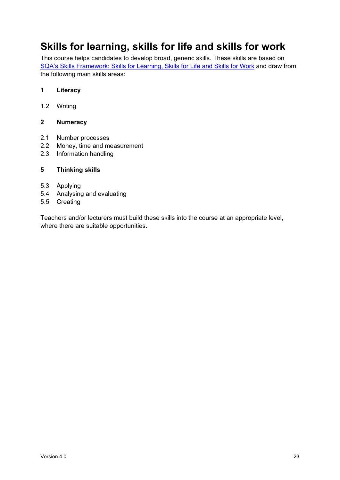### <span id="page-24-0"></span>**Skills for learning, skills for life and skills for work**

This course helps candidates to develop broad, generic skills. These skills are based on [SQA's Skills Framework: Skills for Learning, Skills for Life and Skills for Work](http://www.sqa.org.uk/sqa/63101.html) and draw from the following main skills areas:

#### **1 Literacy**

1.2 Writing

#### **2 Numeracy**

- 2.1 Number processes
- 2.2 Money, time and measurement
- 2.3 Information handling

#### **5 Thinking skills**

- 5.3 Applying
- 5.4 Analysing and evaluating
- 5.5 Creating

Teachers and/or lecturers must build these skills into the course at an appropriate level, where there are suitable opportunities.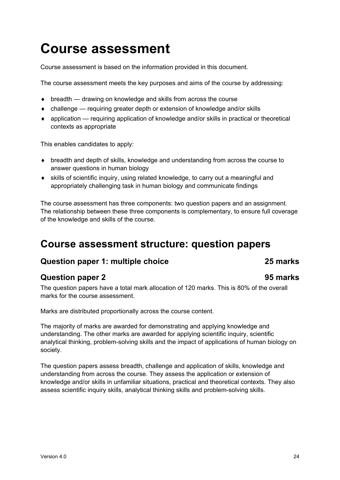# <span id="page-25-0"></span>**Course assessment**

Course assessment is based on the information provided in this document.

The course assessment meets the key purposes and aims of the course by addressing:

- ♦ breadth drawing on knowledge and skills from across the course
- ♦ challenge requiring greater depth or extension of knowledge and/or skills
- ♦ application requiring application of knowledge and/or skills in practical or theoretical contexts as appropriate

This enables candidates to apply:

- ♦ breadth and depth of skills, knowledge and understanding from across the course to answer questions in human biology
- ♦ skills of scientific inquiry, using related knowledge, to carry out a meaningful and appropriately challenging task in human biology and communicate findings

The course assessment has three components: two question papers and an assignment. The relationship between these three components is complementary, to ensure full coverage of the knowledge and skills of the course.

### <span id="page-25-1"></span>**Course assessment structure: question papers**

#### **Question paper 1: multiple choice 25 marks**

### **Question paper 2 195 marks**

The question papers have a total mark allocation of 120 marks. This is 80% of the overall marks for the course assessment.

Marks are distributed proportionally across the course content.

The majority of marks are awarded for demonstrating and applying knowledge and understanding. The other marks are awarded for applying scientific inquiry, scientific analytical thinking, problem-solving skills and the impact of applications of human biology on society.

The question papers assess breadth, challenge and application of skills, knowledge and understanding from across the course. They assess the application or extension of knowledge and/or skills in unfamiliar situations, practical and theoretical contexts. They also assess scientific inquiry skills, analytical thinking skills and problem-solving skills.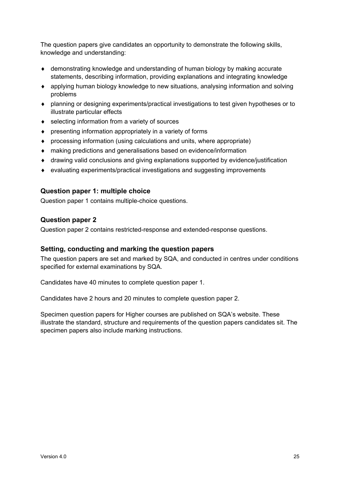The question papers give candidates an opportunity to demonstrate the following skills, knowledge and understanding:

- ♦ demonstrating knowledge and understanding of human biology by making accurate statements, describing information, providing explanations and integrating knowledge
- ♦ applying human biology knowledge to new situations, analysing information and solving problems
- ♦ planning or designing experiments/practical investigations to test given hypotheses or to illustrate particular effects
- ♦ selecting information from a variety of sources
- ♦ presenting information appropriately in a variety of forms
- ♦ processing information (using calculations and units, where appropriate)
- ♦ making predictions and generalisations based on evidence/information
- ♦ drawing valid conclusions and giving explanations supported by evidence/justification
- ♦ evaluating experiments/practical investigations and suggesting improvements

#### **Question paper 1: multiple choice**

Question paper 1 contains multiple-choice questions.

#### **Question paper 2**

Question paper 2 contains restricted-response and extended-response questions.

#### **Setting, conducting and marking the question papers**

The question papers are set and marked by SQA, and conducted in centres under conditions specified for external examinations by SQA.

Candidates have 40 minutes to complete question paper 1.

Candidates have 2 hours and 20 minutes to complete question paper 2.

Specimen question papers for Higher courses are published on SQA's website. These illustrate the standard, structure and requirements of the question papers candidates sit. The specimen papers also include marking instructions.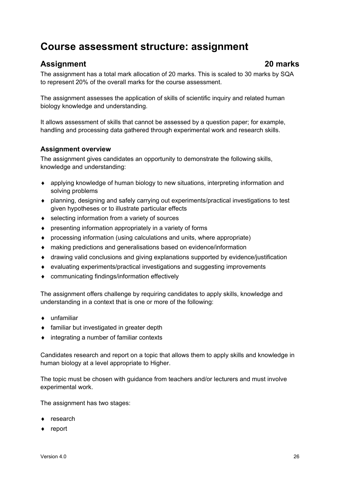### <span id="page-27-0"></span>**Course assessment structure: assignment**

### **Assignment 20 marks**

The assignment has a total mark allocation of 20 marks. This is scaled to 30 marks by SQA to represent 20% of the overall marks for the course assessment.

The assignment assesses the application of skills of scientific inquiry and related human biology knowledge and understanding.

It allows assessment of skills that cannot be assessed by a question paper; for example, handling and processing data gathered through experimental work and research skills.

#### **Assignment overview**

The assignment gives candidates an opportunity to demonstrate the following skills, knowledge and understanding:

- ♦ applying knowledge of human biology to new situations, interpreting information and solving problems
- ♦ planning, designing and safely carrying out experiments/practical investigations to test given hypotheses or to illustrate particular effects
- ♦ selecting information from a variety of sources
- ♦ presenting information appropriately in a variety of forms
- ♦ processing information (using calculations and units, where appropriate)
- ♦ making predictions and generalisations based on evidence/information
- ♦ drawing valid conclusions and giving explanations supported by evidence/justification
- ♦ evaluating experiments/practical investigations and suggesting improvements
- ♦ communicating findings/information effectively

The assignment offers challenge by requiring candidates to apply skills, knowledge and understanding in a context that is one or more of the following:

- ♦ unfamiliar
- ♦ familiar but investigated in greater depth
- $\bullet$  integrating a number of familiar contexts

Candidates research and report on a topic that allows them to apply skills and knowledge in human biology at a level appropriate to Higher.

The topic must be chosen with guidance from teachers and/or lecturers and must involve experimental work.

The assignment has two stages:

- ♦ research
- ♦ report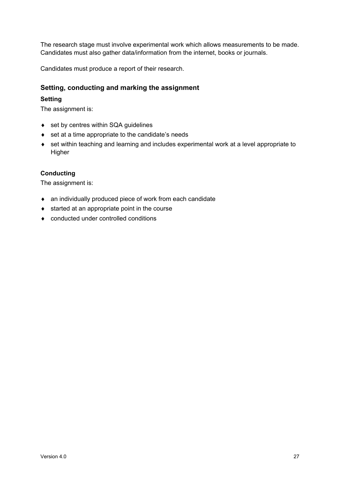The research stage must involve experimental work which allows measurements to be made. Candidates must also gather data/information from the internet, books or journals.

Candidates must produce a report of their research.

#### **Setting, conducting and marking the assignment**

#### **Setting**

The assignment is:

- ◆ set by centres within SQA guidelines
- ♦ set at a time appropriate to the candidate's needs
- ♦ set within teaching and learning and includes experimental work at a level appropriate to Higher

#### **Conducting**

The assignment is:

- ♦ an individually produced piece of work from each candidate
- ♦ started at an appropriate point in the course
- ♦ conducted under controlled conditions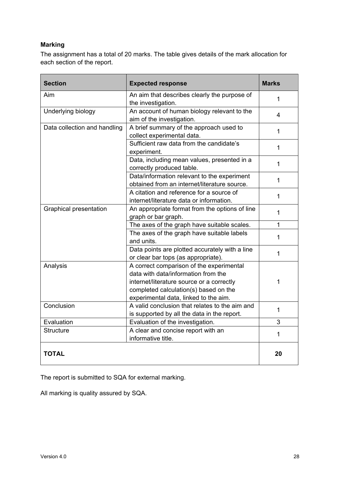#### **Marking**

The assignment has a total of 20 marks. The table gives details of the mark allocation for each section of the report.

| <b>Section</b><br><b>Expected response</b>                                   |                                                                                                                                                                                                                | <b>Marks</b>   |
|------------------------------------------------------------------------------|----------------------------------------------------------------------------------------------------------------------------------------------------------------------------------------------------------------|----------------|
| Aim                                                                          | An aim that describes clearly the purpose of<br>the investigation.                                                                                                                                             | 1              |
| Underlying biology                                                           | An account of human biology relevant to the<br>aim of the investigation.                                                                                                                                       | $\overline{4}$ |
| Data collection and handling                                                 | A brief summary of the approach used to<br>collect experimental data.                                                                                                                                          |                |
|                                                                              | Sufficient raw data from the candidate's<br>experiment.                                                                                                                                                        | $\mathbf{1}$   |
|                                                                              | Data, including mean values, presented in a<br>correctly produced table.                                                                                                                                       | $\mathbf 1$    |
|                                                                              | Data/information relevant to the experiment<br>obtained from an internet/literature source.                                                                                                                    | $\mathbf{1}$   |
|                                                                              | A citation and reference for a source of<br>internet/literature data or information.                                                                                                                           | 1              |
| <b>Graphical presentation</b>                                                | An appropriate format from the options of line<br>graph or bar graph.                                                                                                                                          | $\mathbf{1}$   |
|                                                                              | The axes of the graph have suitable scales.                                                                                                                                                                    | 1              |
|                                                                              | The axes of the graph have suitable labels<br>and units.                                                                                                                                                       | 1              |
|                                                                              | Data points are plotted accurately with a line<br>or clear bar tops (as appropriate).                                                                                                                          | $\mathbf 1$    |
| Analysis                                                                     | A correct comparison of the experimental<br>data with data/information from the<br>internet/literature source or a correctly<br>completed calculation(s) based on the<br>experimental data, linked to the aim. |                |
| Conclusion                                                                   | A valid conclusion that relates to the aim and<br>is supported by all the data in the report.                                                                                                                  | $\mathbf 1$    |
| Evaluation                                                                   | Evaluation of the investigation.                                                                                                                                                                               | 3              |
| A clear and concise report with an<br><b>Structure</b><br>informative title. |                                                                                                                                                                                                                | 1              |
| <b>TOTAL</b>                                                                 |                                                                                                                                                                                                                | 20             |

The report is submitted to SQA for external marking.

All marking is quality assured by SQA.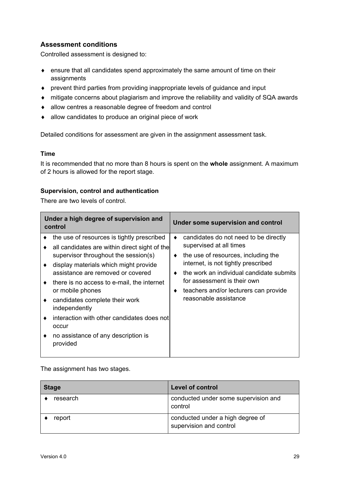#### **Assessment conditions**

Controlled assessment is designed to:

- ♦ ensure that all candidates spend approximately the same amount of time on their assignments
- ♦ prevent third parties from providing inappropriate levels of guidance and input
- ♦ mitigate concerns about plagiarism and improve the reliability and validity of SQA awards
- ♦ allow centres a reasonable degree of freedom and control
- ♦ allow candidates to produce an original piece of work

Detailed conditions for assessment are given in the assignment assessment task.

#### **Time**

It is recommended that no more than 8 hours is spent on the **whole** assignment. A maximum of 2 hours is allowed for the report stage.

#### **Supervision, control and authentication**

There are two levels of control.

| Under a high degree of supervision and<br>control |                                                                                       | Under some supervision and control |                                                                |
|---------------------------------------------------|---------------------------------------------------------------------------------------|------------------------------------|----------------------------------------------------------------|
|                                                   | the use of resources is tightly prescribed                                            |                                    | candidates do not need to be directly                          |
|                                                   | all candidates are within direct sight of the<br>supervisor throughout the session(s) | ٠                                  | supervised at all times<br>the use of resources, including the |
|                                                   | display materials which might provide                                                 |                                    | internet, is not tightly prescribed                            |
|                                                   | assistance are removed or covered                                                     |                                    | the work an individual candidate submits                       |
| ٠                                                 | there is no access to e-mail, the internet                                            |                                    | for assessment is their own                                    |
|                                                   | or mobile phones                                                                      |                                    | teachers and/or lecturers can provide                          |
|                                                   | candidates complete their work<br>independently                                       |                                    | reasonable assistance                                          |
|                                                   | interaction with other candidates does not<br>occur                                   |                                    |                                                                |
|                                                   | no assistance of any description is<br>provided                                       |                                    |                                                                |

The assignment has two stages.

| <b>Stage</b> | <b>Level of control</b>                                     |
|--------------|-------------------------------------------------------------|
| research     | conducted under some supervision and<br>control             |
| report       | conducted under a high degree of<br>supervision and control |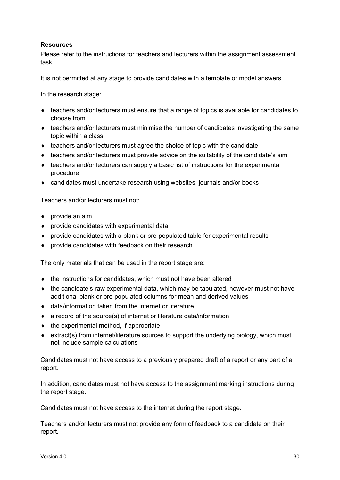#### **Resources**

Please refer to the instructions for teachers and lecturers within the assignment assessment task.

It is not permitted at any stage to provide candidates with a template or model answers.

In the research stage:

- ♦ teachers and/or lecturers must ensure that a range of topics is available for candidates to choose from
- ♦ teachers and/or lecturers must minimise the number of candidates investigating the same topic within a class
- $\bullet$  teachers and/or lecturers must agree the choice of topic with the candidate
- ♦ teachers and/or lecturers must provide advice on the suitability of the candidate's aim
- ♦ teachers and/or lecturers can supply a basic list of instructions for the experimental procedure
- ♦ candidates must undertake research using websites, journals and/or books

Teachers and/or lecturers must not:

- $\bullet$  provide an aim
- ♦ provide candidates with experimental data
- provide candidates with a blank or pre-populated table for experimental results
- ♦ provide candidates with feedback on their research

The only materials that can be used in the report stage are:

- ♦ the instructions for candidates, which must not have been altered
- $\bullet$  the candidate's raw experimental data, which may be tabulated, however must not have additional blank or pre-populated columns for mean and derived values
- ♦ data/information taken from the internet or literature
- ♦ a record of the source(s) of internet or literature data/information
- $\bullet$  the experimental method, if appropriate
- ♦ extract(s) from internet/literature sources to support the underlying biology, which must not include sample calculations

Candidates must not have access to a previously prepared draft of a report or any part of a report.

In addition, candidates must not have access to the assignment marking instructions during the report stage.

Candidates must not have access to the internet during the report stage.

Teachers and/or lecturers must not provide any form of feedback to a candidate on their report.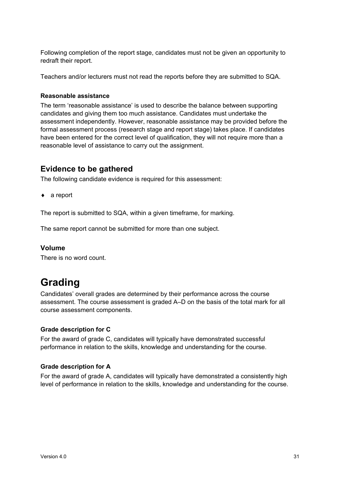Following completion of the report stage, candidates must not be given an opportunity to redraft their report.

Teachers and/or lecturers must not read the reports before they are submitted to SQA.

#### **Reasonable assistance**

The term 'reasonable assistance' is used to describe the balance between supporting candidates and giving them too much assistance. Candidates must undertake the assessment independently. However, reasonable assistance may be provided before the formal assessment process (research stage and report stage) takes place. If candidates have been entered for the correct level of qualification, they will not require more than a reasonable level of assistance to carry out the assignment.

#### **Evidence to be gathered**

The following candidate evidence is required for this assessment:

♦ a report

The report is submitted to SQA, within a given timeframe, for marking.

The same report cannot be submitted for more than one subject.

#### **Volume**

There is no word count.

### <span id="page-32-0"></span>**Grading**

Candidates' overall grades are determined by their performance across the course assessment. The course assessment is graded A–D on the basis of the total mark for all course assessment components.

#### **Grade description for C**

For the award of grade C, candidates will typically have demonstrated successful performance in relation to the skills, knowledge and understanding for the course.

#### **Grade description for A**

For the award of grade A, candidates will typically have demonstrated a consistently high level of performance in relation to the skills, knowledge and understanding for the course.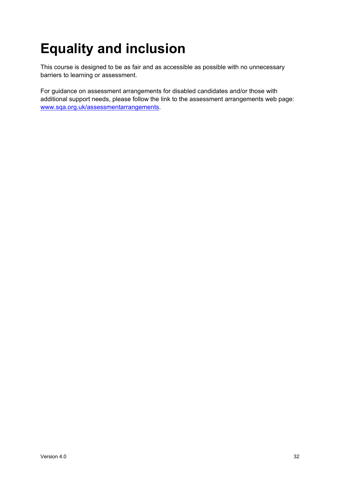# <span id="page-33-0"></span>**Equality and inclusion**

This course is designed to be as fair and as accessible as possible with no unnecessary barriers to learning or assessment.

For guidance on assessment arrangements for disabled candidates and/or those with additional support needs, please follow the link to the assessment arrangements web page: [www.sqa.org.uk/assessmentarrangements.](http://www.sqa.org.uk/assessmentarrangements)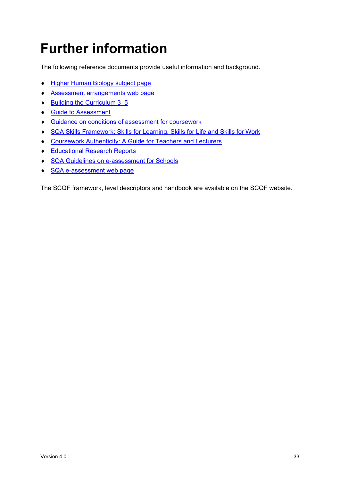# <span id="page-34-0"></span>**Further information**

The following reference documents provide useful information and background.

- ♦ Higher [Human Biology](https://www.sqa.org.uk/sqa/47915.html) subject page
- ♦ [Assessment arrangements web page](http://www.sqa.org.uk/assessmentarrangements)
- ♦ [Building the Curriculum 3–5](https://www.education.gov.scot/scottish-education-system/policy-for-scottish-education/policy-drivers/cfe-(building-from-the-statement-appendix-incl-btc1-5)/Building%20the%20Curriculum)
- ♦ [Guide to Assessment](http://www.sqa.org.uk/sqa/2424.html)
- ♦ [Guidance on conditions of assessment for coursework](http://www.sqa.org.uk/sqa/files_ccc/Guidance_on_conditions_of_assessment_for_coursework.pdf)
- ♦ [SQA Skills Framework: Skills for Learning, Skills for Life and Skills for Work](http://www.sqa.org.uk/sqa/63101.html)
- ♦ [Coursework Authenticity: A Guide for Teachers and Lecturers](http://www.sqa.org.uk/sqa/1418.html)
- ♦ [Educational Research Reports](http://www.sqa.org.uk/sqa/35847.958.html)
- ♦ [SQA Guidelines on e-assessment for Schools](http://www.sqa.org.uk/sqa/2424.html)
- ♦ [SQA e-assessment web page](http://www.sqa.org.uk/sqa/68750.html)

The SCQF framework, level descriptors and handbook are available on the SCQF website.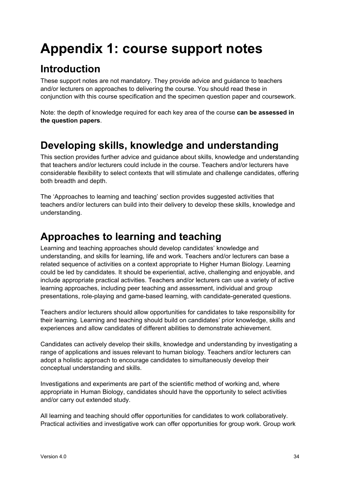# <span id="page-35-0"></span>**Appendix 1: course support notes**

## <span id="page-35-1"></span>**Introduction**

These support notes are not mandatory. They provide advice and guidance to teachers and/or lecturers on approaches to delivering the course. You should read these in conjunction with this course specification and the specimen question paper and coursework.

Note: the depth of knowledge required for each key area of the course **can be assessed in the question papers**.

### <span id="page-35-2"></span>**Developing skills, knowledge and understanding**

This section provides further advice and guidance about skills, knowledge and understanding that teachers and/or lecturers could include in the course. Teachers and/or lecturers have considerable flexibility to select contexts that will stimulate and challenge candidates, offering both breadth and depth.

The 'Approaches to learning and teaching' section provides suggested activities that teachers and/or lecturers can build into their delivery to develop these skills, knowledge and understanding.

### <span id="page-35-3"></span>**Approaches to learning and teaching**

Learning and teaching approaches should develop candidates' knowledge and understanding, and skills for learning, life and work. Teachers and/or lecturers can base a related sequence of activities on a context appropriate to Higher Human Biology. Learning could be led by candidates. It should be experiential, active, challenging and enjoyable, and include appropriate practical activities. Teachers and/or lecturers can use a variety of active learning approaches, including peer teaching and assessment, individual and group presentations, role-playing and game-based learning, with candidate-generated questions.

Teachers and/or lecturers should allow opportunities for candidates to take responsibility for their learning. Learning and teaching should build on candidates' prior knowledge, skills and experiences and allow candidates of different abilities to demonstrate achievement.

Candidates can actively develop their skills, knowledge and understanding by investigating a range of applications and issues relevant to human biology. Teachers and/or lecturers can adopt a holistic approach to encourage candidates to simultaneously develop their conceptual understanding and skills.

Investigations and experiments are part of the scientific method of working and, where appropriate in Human Biology, candidates should have the opportunity to select activities and/or carry out extended study.

All learning and teaching should offer opportunities for candidates to work collaboratively. Practical activities and investigative work can offer opportunities for group work. Group work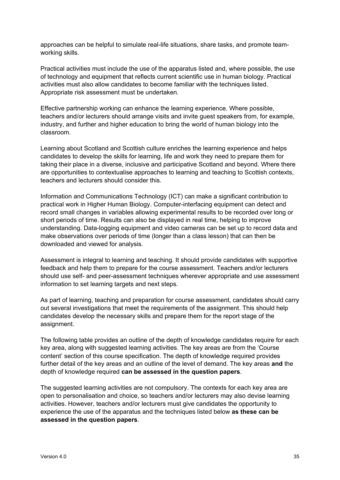approaches can be helpful to simulate real-life situations, share tasks, and promote teamworking skills.

Practical activities must include the use of the apparatus listed and, where possible, the use of technology and equipment that reflects current scientific use in human biology. Practical activities must also allow candidates to become familiar with the techniques listed. Appropriate risk assessment must be undertaken.

Effective partnership working can enhance the learning experience. Where possible, teachers and/or lecturers should arrange visits and invite guest speakers from, for example, industry, and further and higher education to bring the world of human biology into the classroom.

Learning about Scotland and Scottish culture enriches the learning experience and helps candidates to develop the skills for learning, life and work they need to prepare them for taking their place in a diverse, inclusive and participative Scotland and beyond. Where there are opportunities to contextualise approaches to learning and teaching to Scottish contexts, teachers and lecturers should consider this.

Information and Communications Technology (ICT) can make a significant contribution to practical work in Higher Human Biology. Computer-interfacing equipment can detect and record small changes in variables allowing experimental results to be recorded over long or short periods of time. Results can also be displayed in real time, helping to improve understanding. Data-logging equipment and video cameras can be set up to record data and make observations over periods of time (longer than a class lesson) that can then be downloaded and viewed for analysis.

Assessment is integral to learning and teaching. It should provide candidates with supportive feedback and help them to prepare for the course assessment. Teachers and/or lecturers should use self- and peer-assessment techniques wherever appropriate and use assessment information to set learning targets and next steps.

As part of learning, teaching and preparation for course assessment, candidates should carry out several investigations that meet the requirements of the assignment. This should help candidates develop the necessary skills and prepare them for the report stage of the assignment.

The following table provides an outline of the depth of knowledge candidates require for each key area, along with suggested learning activities. The key areas are from the 'Course content' section of this course specification. The depth of knowledge required provides further detail of the key areas and an outline of the level of demand. The key areas **and** the depth of knowledge required **can be assessed in the question papers**.

The suggested learning activities are not compulsory. The contexts for each key area are open to personalisation and choice, so teachers and/or lecturers may also devise learning activities. However, teachers and/or lecturers must give candidates the opportunity to experience the use of the apparatus and the techniques listed below **as these can be assessed in the question papers**.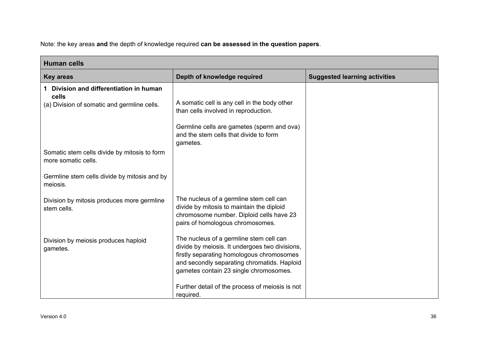Note: the key areas **and** the depth of knowledge required **can be assessed in the question papers**.

| <b>Human cells</b>                                                  |                                                                                                                                                                                                                                 |                                      |
|---------------------------------------------------------------------|---------------------------------------------------------------------------------------------------------------------------------------------------------------------------------------------------------------------------------|--------------------------------------|
| <b>Key areas</b>                                                    | Depth of knowledge required                                                                                                                                                                                                     | <b>Suggested learning activities</b> |
| 1 Division and differentiation in human<br>cells                    |                                                                                                                                                                                                                                 |                                      |
| (a) Division of somatic and germline cells.                         | A somatic cell is any cell in the body other<br>than cells involved in reproduction.                                                                                                                                            |                                      |
|                                                                     | Germline cells are gametes (sperm and ova)<br>and the stem cells that divide to form<br>gametes.                                                                                                                                |                                      |
| Somatic stem cells divide by mitosis to form<br>more somatic cells. |                                                                                                                                                                                                                                 |                                      |
| Germline stem cells divide by mitosis and by<br>meiosis.            |                                                                                                                                                                                                                                 |                                      |
| Division by mitosis produces more germline<br>stem cells.           | The nucleus of a germline stem cell can<br>divide by mitosis to maintain the diploid<br>chromosome number. Diploid cells have 23<br>pairs of homologous chromosomes.                                                            |                                      |
| Division by meiosis produces haploid<br>gametes.                    | The nucleus of a germline stem cell can<br>divide by meiosis. It undergoes two divisions,<br>firstly separating homologous chromosomes<br>and secondly separating chromatids. Haploid<br>gametes contain 23 single chromosomes. |                                      |
|                                                                     | Further detail of the process of meiosis is not<br>required.                                                                                                                                                                    |                                      |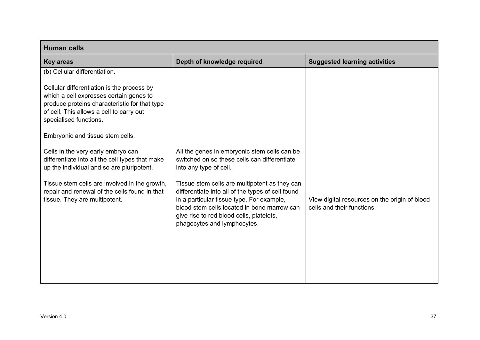| <b>Human cells</b>                                                                                                                                                                                           |                                                                                                                                                                                                                                                                           |                                                                             |
|--------------------------------------------------------------------------------------------------------------------------------------------------------------------------------------------------------------|---------------------------------------------------------------------------------------------------------------------------------------------------------------------------------------------------------------------------------------------------------------------------|-----------------------------------------------------------------------------|
| <b>Key areas</b>                                                                                                                                                                                             | Depth of knowledge required                                                                                                                                                                                                                                               | <b>Suggested learning activities</b>                                        |
| (b) Cellular differentiation.                                                                                                                                                                                |                                                                                                                                                                                                                                                                           |                                                                             |
| Cellular differentiation is the process by<br>which a cell expresses certain genes to<br>produce proteins characteristic for that type<br>of cell. This allows a cell to carry out<br>specialised functions. |                                                                                                                                                                                                                                                                           |                                                                             |
| Embryonic and tissue stem cells.                                                                                                                                                                             |                                                                                                                                                                                                                                                                           |                                                                             |
| Cells in the very early embryo can<br>differentiate into all the cell types that make<br>up the individual and so are pluripotent.                                                                           | All the genes in embryonic stem cells can be<br>switched on so these cells can differentiate<br>into any type of cell.                                                                                                                                                    |                                                                             |
| Tissue stem cells are involved in the growth,<br>repair and renewal of the cells found in that<br>tissue. They are multipotent.                                                                              | Tissue stem cells are multipotent as they can<br>differentiate into all of the types of cell found<br>in a particular tissue type. For example,<br>blood stem cells located in bone marrow can<br>give rise to red blood cells, platelets,<br>phagocytes and lymphocytes. | View digital resources on the origin of blood<br>cells and their functions. |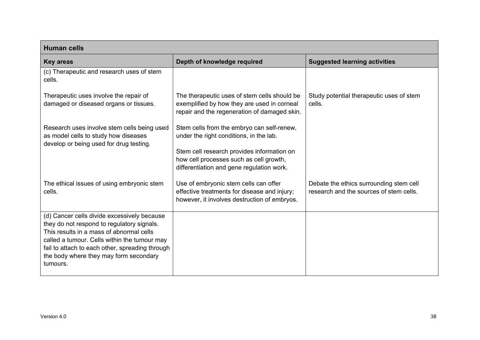| <b>Human cells</b>                                                                                                                                                                                                                                                                             |                                                                                                                                             |                                                                                    |
|------------------------------------------------------------------------------------------------------------------------------------------------------------------------------------------------------------------------------------------------------------------------------------------------|---------------------------------------------------------------------------------------------------------------------------------------------|------------------------------------------------------------------------------------|
| <b>Key areas</b>                                                                                                                                                                                                                                                                               | Depth of knowledge required                                                                                                                 | <b>Suggested learning activities</b>                                               |
| (c) Therapeutic and research uses of stem<br>cells.                                                                                                                                                                                                                                            |                                                                                                                                             |                                                                                    |
| Therapeutic uses involve the repair of<br>damaged or diseased organs or tissues.                                                                                                                                                                                                               | The therapeutic uses of stem cells should be<br>exemplified by how they are used in corneal<br>repair and the regeneration of damaged skin. | Study potential therapeutic uses of stem<br>cells.                                 |
| Research uses involve stem cells being used<br>as model cells to study how diseases<br>develop or being used for drug testing.                                                                                                                                                                 | Stem cells from the embryo can self-renew,<br>under the right conditions, in the lab.                                                       |                                                                                    |
|                                                                                                                                                                                                                                                                                                | Stem cell research provides information on<br>how cell processes such as cell growth,<br>differentiation and gene regulation work.          |                                                                                    |
| The ethical issues of using embryonic stem<br>cells.                                                                                                                                                                                                                                           | Use of embryonic stem cells can offer<br>effective treatments for disease and injury;<br>however, it involves destruction of embryos.       | Debate the ethics surrounding stem cell<br>research and the sources of stem cells. |
| (d) Cancer cells divide excessively because<br>they do not respond to regulatory signals.<br>This results in a mass of abnormal cells<br>called a tumour. Cells within the tumour may<br>fail to attach to each other, spreading through<br>the body where they may form secondary<br>tumours. |                                                                                                                                             |                                                                                    |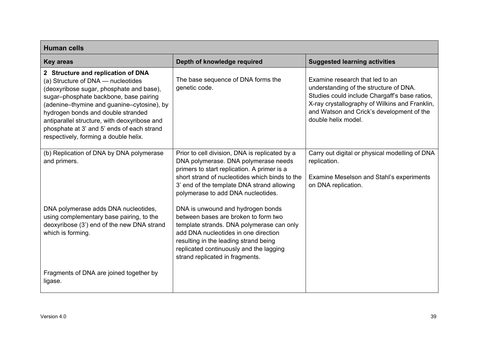| <b>Human cells</b>                                                                                                                                                                                                                                                                                                                                                                        |                                                                                                                                                                                                                                                                                       |                                                                                                                                                                                                                                                  |
|-------------------------------------------------------------------------------------------------------------------------------------------------------------------------------------------------------------------------------------------------------------------------------------------------------------------------------------------------------------------------------------------|---------------------------------------------------------------------------------------------------------------------------------------------------------------------------------------------------------------------------------------------------------------------------------------|--------------------------------------------------------------------------------------------------------------------------------------------------------------------------------------------------------------------------------------------------|
| <b>Key areas</b>                                                                                                                                                                                                                                                                                                                                                                          | Depth of knowledge required                                                                                                                                                                                                                                                           | <b>Suggested learning activities</b>                                                                                                                                                                                                             |
| 2 Structure and replication of DNA<br>(a) Structure of DNA - nucleotides<br>(deoxyribose sugar, phosphate and base),<br>sugar-phosphate backbone, base pairing<br>(adenine-thymine and guanine-cytosine), by<br>hydrogen bonds and double stranded<br>antiparallel structure, with deoxyribose and<br>phosphate at 3' and 5' ends of each strand<br>respectively, forming a double helix. | The base sequence of DNA forms the<br>genetic code.                                                                                                                                                                                                                                   | Examine research that led to an<br>understanding of the structure of DNA.<br>Studies could include Chargaff's base ratios,<br>X-ray crystallography of Wilkins and Franklin,<br>and Watson and Crick's development of the<br>double helix model. |
| (b) Replication of DNA by DNA polymerase<br>and primers.                                                                                                                                                                                                                                                                                                                                  | Prior to cell division, DNA is replicated by a<br>DNA polymerase. DNA polymerase needs<br>primers to start replication. A primer is a<br>short strand of nucleotides which binds to the<br>3' end of the template DNA strand allowing<br>polymerase to add DNA nucleotides.           | Carry out digital or physical modelling of DNA<br>replication.<br>Examine Meselson and Stahl's experiments<br>on DNA replication.                                                                                                                |
| DNA polymerase adds DNA nucleotides,<br>using complementary base pairing, to the<br>deoxyribose (3') end of the new DNA strand<br>which is forming.                                                                                                                                                                                                                                       | DNA is unwound and hydrogen bonds<br>between bases are broken to form two<br>template strands. DNA polymerase can only<br>add DNA nucleotides in one direction<br>resulting in the leading strand being<br>replicated continuously and the lagging<br>strand replicated in fragments. |                                                                                                                                                                                                                                                  |
| Fragments of DNA are joined together by<br>ligase.                                                                                                                                                                                                                                                                                                                                        |                                                                                                                                                                                                                                                                                       |                                                                                                                                                                                                                                                  |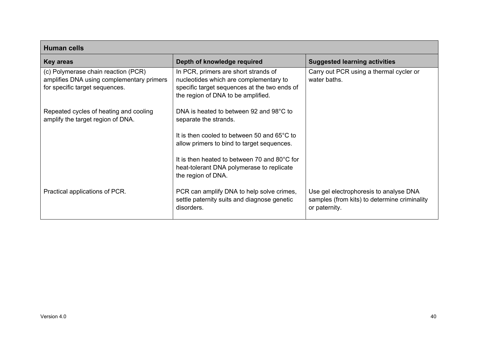| <b>Human cells</b>                                                                                                 |                                                                                                                                                                      |                                                                                                         |
|--------------------------------------------------------------------------------------------------------------------|----------------------------------------------------------------------------------------------------------------------------------------------------------------------|---------------------------------------------------------------------------------------------------------|
| <b>Key areas</b>                                                                                                   | Depth of knowledge required                                                                                                                                          | <b>Suggested learning activities</b>                                                                    |
| (c) Polymerase chain reaction (PCR)<br>amplifies DNA using complementary primers<br>for specific target sequences. | In PCR, primers are short strands of<br>nucleotides which are complementary to<br>specific target sequences at the two ends of<br>the region of DNA to be amplified. | Carry out PCR using a thermal cycler or<br>water baths.                                                 |
| Repeated cycles of heating and cooling<br>amplify the target region of DNA.                                        | DNA is heated to between 92 and 98°C to<br>separate the strands.                                                                                                     |                                                                                                         |
|                                                                                                                    | It is then cooled to between 50 and 65°C to<br>allow primers to bind to target sequences.                                                                            |                                                                                                         |
|                                                                                                                    | It is then heated to between 70 and 80°C for<br>heat-tolerant DNA polymerase to replicate<br>the region of DNA.                                                      |                                                                                                         |
| Practical applications of PCR.                                                                                     | PCR can amplify DNA to help solve crimes,<br>settle paternity suits and diagnose genetic<br>disorders.                                                               | Use gel electrophoresis to analyse DNA<br>samples (from kits) to determine criminality<br>or paternity. |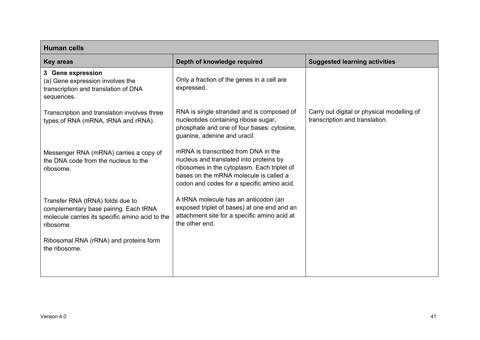| <b>Human cells</b>                                                                                                                        |                                                                                                                                                                                                                       |                                                                              |
|-------------------------------------------------------------------------------------------------------------------------------------------|-----------------------------------------------------------------------------------------------------------------------------------------------------------------------------------------------------------------------|------------------------------------------------------------------------------|
| <b>Key areas</b>                                                                                                                          | Depth of knowledge required                                                                                                                                                                                           | <b>Suggested learning activities</b>                                         |
| 3 Gene expression<br>(a) Gene expression involves the<br>transcription and translation of DNA<br>sequences.                               | Only a fraction of the genes in a cell are<br>expressed.                                                                                                                                                              |                                                                              |
| Transcription and translation involves three<br>types of RNA (mRNA, tRNA and rRNA).                                                       | RNA is single stranded and is composed of<br>nucleotides containing ribose sugar,<br>phosphate and one of four bases: cytosine,<br>guanine, adenine and uracil.                                                       | Carry out digital or physical modelling of<br>transcription and translation. |
| Messenger RNA (mRNA) carries a copy of<br>the DNA code from the nucleus to the<br>ribosome.                                               | mRNA is transcribed from DNA in the<br>nucleus and translated into proteins by<br>ribosomes in the cytoplasm. Each triplet of<br>bases on the mRNA molecule is called a<br>codon and codes for a specific amino acid. |                                                                              |
| Transfer RNA (tRNA) folds due to<br>complementary base pairing. Each tRNA<br>molecule carries its specific amino acid to the<br>ribosome. | A tRNA molecule has an anticodon (an<br>exposed triplet of bases) at one end and an<br>attachment site for a specific amino acid at<br>the other end.                                                                 |                                                                              |
| Ribosomal RNA (rRNA) and proteins form<br>the ribosome.                                                                                   |                                                                                                                                                                                                                       |                                                                              |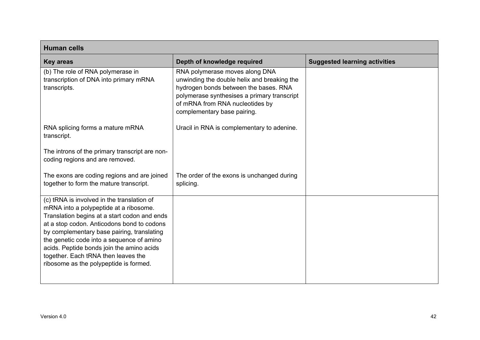| <b>Human cells</b>                                                                                                                                                                                                                                                                                                                                                                                          |                                                                                                                                                                                                                                         |                                      |
|-------------------------------------------------------------------------------------------------------------------------------------------------------------------------------------------------------------------------------------------------------------------------------------------------------------------------------------------------------------------------------------------------------------|-----------------------------------------------------------------------------------------------------------------------------------------------------------------------------------------------------------------------------------------|--------------------------------------|
| <b>Key areas</b>                                                                                                                                                                                                                                                                                                                                                                                            | Depth of knowledge required                                                                                                                                                                                                             | <b>Suggested learning activities</b> |
| (b) The role of RNA polymerase in<br>transcription of DNA into primary mRNA<br>transcripts.                                                                                                                                                                                                                                                                                                                 | RNA polymerase moves along DNA<br>unwinding the double helix and breaking the<br>hydrogen bonds between the bases. RNA<br>polymerase synthesises a primary transcript<br>of mRNA from RNA nucleotides by<br>complementary base pairing. |                                      |
| RNA splicing forms a mature mRNA<br>transcript.                                                                                                                                                                                                                                                                                                                                                             | Uracil in RNA is complementary to adenine.                                                                                                                                                                                              |                                      |
| The introns of the primary transcript are non-<br>coding regions and are removed.                                                                                                                                                                                                                                                                                                                           |                                                                                                                                                                                                                                         |                                      |
| The exons are coding regions and are joined<br>together to form the mature transcript.                                                                                                                                                                                                                                                                                                                      | The order of the exons is unchanged during<br>splicing.                                                                                                                                                                                 |                                      |
| (c) tRNA is involved in the translation of<br>mRNA into a polypeptide at a ribosome.<br>Translation begins at a start codon and ends<br>at a stop codon. Anticodons bond to codons<br>by complementary base pairing, translating<br>the genetic code into a sequence of amino<br>acids. Peptide bonds join the amino acids<br>together. Each tRNA then leaves the<br>ribosome as the polypeptide is formed. |                                                                                                                                                                                                                                         |                                      |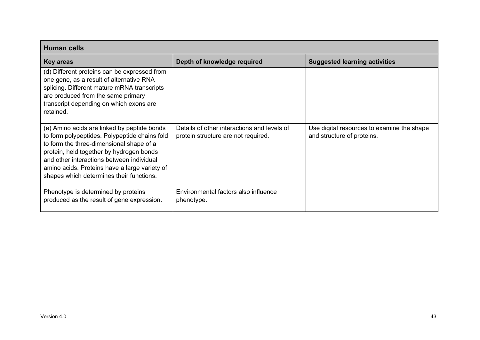| <b>Human cells</b>                                                                                                                                                                                                                                                                                                             |                                                                                    |                                                                          |
|--------------------------------------------------------------------------------------------------------------------------------------------------------------------------------------------------------------------------------------------------------------------------------------------------------------------------------|------------------------------------------------------------------------------------|--------------------------------------------------------------------------|
| <b>Key areas</b>                                                                                                                                                                                                                                                                                                               | Depth of knowledge required                                                        | <b>Suggested learning activities</b>                                     |
| (d) Different proteins can be expressed from<br>one gene, as a result of alternative RNA<br>splicing. Different mature mRNA transcripts<br>are produced from the same primary<br>transcript depending on which exons are<br>retained.                                                                                          |                                                                                    |                                                                          |
| (e) Amino acids are linked by peptide bonds<br>to form polypeptides. Polypeptide chains fold<br>to form the three-dimensional shape of a<br>protein, held together by hydrogen bonds<br>and other interactions between individual<br>amino acids. Proteins have a large variety of<br>shapes which determines their functions. | Details of other interactions and levels of<br>protein structure are not required. | Use digital resources to examine the shape<br>and structure of proteins. |
| Phenotype is determined by proteins<br>produced as the result of gene expression.                                                                                                                                                                                                                                              | Environmental factors also influence<br>phenotype.                                 |                                                                          |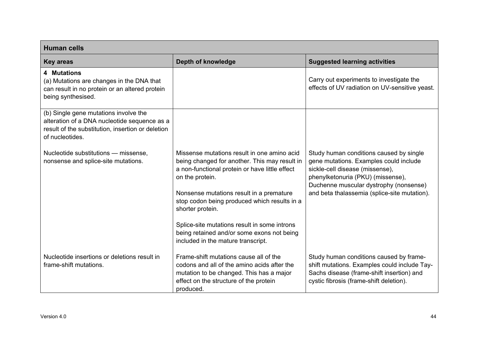| <b>Human cells</b>                                                                                                                                            |                                                                                                                                                                                          |                                                                                                                                                                                                     |
|---------------------------------------------------------------------------------------------------------------------------------------------------------------|------------------------------------------------------------------------------------------------------------------------------------------------------------------------------------------|-----------------------------------------------------------------------------------------------------------------------------------------------------------------------------------------------------|
| <b>Key areas</b>                                                                                                                                              | Depth of knowledge                                                                                                                                                                       | <b>Suggested learning activities</b>                                                                                                                                                                |
| <b>4 Mutations</b><br>(a) Mutations are changes in the DNA that<br>can result in no protein or an altered protein<br>being synthesised.                       |                                                                                                                                                                                          | Carry out experiments to investigate the<br>effects of UV radiation on UV-sensitive yeast.                                                                                                          |
| (b) Single gene mutations involve the<br>alteration of a DNA nucleotide sequence as a<br>result of the substitution, insertion or deletion<br>of nucleotides. |                                                                                                                                                                                          |                                                                                                                                                                                                     |
| Nucleotide substitutions - missense,<br>nonsense and splice-site mutations.                                                                                   | Missense mutations result in one amino acid<br>being changed for another. This may result in<br>a non-functional protein or have little effect<br>on the protein.                        | Study human conditions caused by single<br>gene mutations. Examples could include<br>sickle-cell disease (missense),<br>phenylketonuria (PKU) (missense),<br>Duchenne muscular dystrophy (nonsense) |
|                                                                                                                                                               | Nonsense mutations result in a premature<br>stop codon being produced which results in a<br>shorter protein.                                                                             | and beta thalassemia (splice-site mutation).                                                                                                                                                        |
|                                                                                                                                                               | Splice-site mutations result in some introns<br>being retained and/or some exons not being<br>included in the mature transcript.                                                         |                                                                                                                                                                                                     |
| Nucleotide insertions or deletions result in<br>frame-shift mutations.                                                                                        | Frame-shift mutations cause all of the<br>codons and all of the amino acids after the<br>mutation to be changed. This has a major<br>effect on the structure of the protein<br>produced. | Study human conditions caused by frame-<br>shift mutations. Examples could include Tay-<br>Sachs disease (frame-shift insertion) and<br>cystic fibrosis (frame-shift deletion).                     |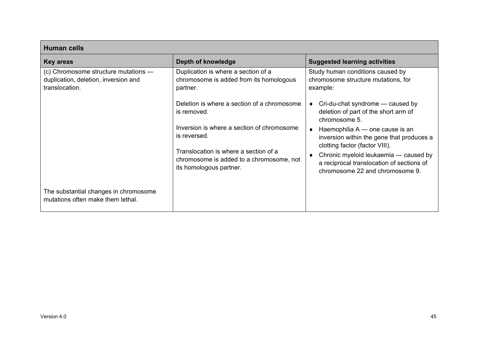| <b>Human cells</b>                                                                             |                                                                                                              |                                                                                                                       |
|------------------------------------------------------------------------------------------------|--------------------------------------------------------------------------------------------------------------|-----------------------------------------------------------------------------------------------------------------------|
| <b>Key areas</b>                                                                               | Depth of knowledge                                                                                           | <b>Suggested learning activities</b>                                                                                  |
| (c) Chromosome structure mutations -<br>duplication, deletion, inversion and<br>translocation. | Duplication is where a section of a<br>chromosome is added from its homologous<br>partner.                   | Study human conditions caused by<br>chromosome structure mutations, for<br>example:                                   |
|                                                                                                | Deletion is where a section of a chromosome<br>is removed.                                                   | Cri-du-chat syndrome — caused by<br>deletion of part of the short arm of<br>chromosome 5.                             |
|                                                                                                | Inversion is where a section of chromosome<br>is reversed.                                                   | Haemophilia A - one cause is an<br>inversion within the gene that produces a<br>clotting factor (factor VIII).        |
|                                                                                                | Translocation is where a section of a<br>chromosome is added to a chromosome, not<br>its homologous partner. | Chronic myeloid leukaemia - caused by<br>a reciprocal translocation of sections of<br>chromosome 22 and chromosome 9. |
| The substantial changes in chromosome<br>mutations often make them lethal.                     |                                                                                                              |                                                                                                                       |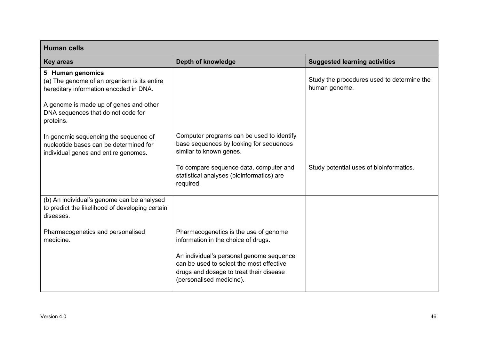| <b>Human cells</b>                                                                                                      |                                                                                                                                                             |                                                             |
|-------------------------------------------------------------------------------------------------------------------------|-------------------------------------------------------------------------------------------------------------------------------------------------------------|-------------------------------------------------------------|
| <b>Key areas</b>                                                                                                        | Depth of knowledge                                                                                                                                          | <b>Suggested learning activities</b>                        |
| 5 Human genomics<br>(a) The genome of an organism is its entire<br>hereditary information encoded in DNA.               |                                                                                                                                                             | Study the procedures used to determine the<br>human genome. |
| A genome is made up of genes and other<br>DNA sequences that do not code for<br>proteins.                               |                                                                                                                                                             |                                                             |
| In genomic sequencing the sequence of<br>nucleotide bases can be determined for<br>individual genes and entire genomes. | Computer programs can be used to identify<br>base sequences by looking for sequences<br>similar to known genes.                                             |                                                             |
|                                                                                                                         | To compare sequence data, computer and<br>statistical analyses (bioinformatics) are<br>required.                                                            | Study potential uses of bioinformatics.                     |
| (b) An individual's genome can be analysed<br>to predict the likelihood of developing certain<br>diseases.              |                                                                                                                                                             |                                                             |
| Pharmacogenetics and personalised<br>medicine.                                                                          | Pharmacogenetics is the use of genome<br>information in the choice of drugs.                                                                                |                                                             |
|                                                                                                                         | An individual's personal genome sequence<br>can be used to select the most effective<br>drugs and dosage to treat their disease<br>(personalised medicine). |                                                             |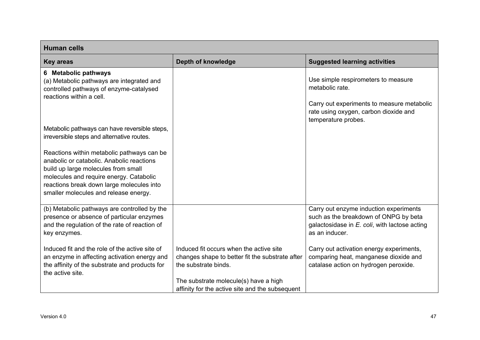| <b>Human cells</b>                                                                                                                                                                                                                                              |                                                                                                                                                                                                                |                                                                                                                                                    |
|-----------------------------------------------------------------------------------------------------------------------------------------------------------------------------------------------------------------------------------------------------------------|----------------------------------------------------------------------------------------------------------------------------------------------------------------------------------------------------------------|----------------------------------------------------------------------------------------------------------------------------------------------------|
| <b>Key areas</b>                                                                                                                                                                                                                                                | Depth of knowledge                                                                                                                                                                                             | <b>Suggested learning activities</b>                                                                                                               |
| 6 Metabolic pathways<br>(a) Metabolic pathways are integrated and<br>controlled pathways of enzyme-catalysed<br>reactions within a cell.                                                                                                                        |                                                                                                                                                                                                                | Use simple respirometers to measure<br>metabolic rate.<br>Carry out experiments to measure metabolic<br>rate using oxygen, carbon dioxide and      |
| Metabolic pathways can have reversible steps,<br>irreversible steps and alternative routes.                                                                                                                                                                     |                                                                                                                                                                                                                | temperature probes.                                                                                                                                |
| Reactions within metabolic pathways can be<br>anabolic or catabolic. Anabolic reactions<br>build up large molecules from small<br>molecules and require energy. Catabolic<br>reactions break down large molecules into<br>smaller molecules and release energy. |                                                                                                                                                                                                                |                                                                                                                                                    |
| (b) Metabolic pathways are controlled by the<br>presence or absence of particular enzymes<br>and the regulation of the rate of reaction of<br>key enzymes.                                                                                                      |                                                                                                                                                                                                                | Carry out enzyme induction experiments<br>such as the breakdown of ONPG by beta<br>galactosidase in E. coli, with lactose acting<br>as an inducer. |
| Induced fit and the role of the active site of<br>an enzyme in affecting activation energy and<br>the affinity of the substrate and products for<br>the active site.                                                                                            | Induced fit occurs when the active site<br>changes shape to better fit the substrate after<br>the substrate binds.<br>The substrate molecule(s) have a high<br>affinity for the active site and the subsequent | Carry out activation energy experiments,<br>comparing heat, manganese dioxide and<br>catalase action on hydrogen peroxide.                         |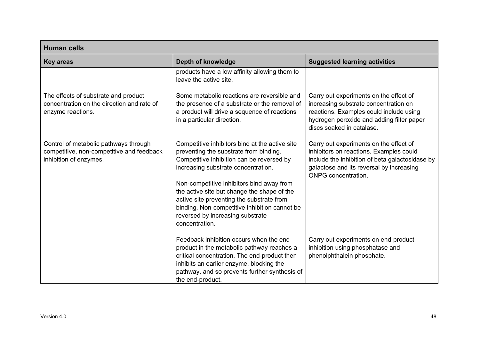| <b>Human cells</b>                                                                                           |                                                                                                                                                                                                                                                                                                                                                                                                                              |                                                                                                                                                                                                                |
|--------------------------------------------------------------------------------------------------------------|------------------------------------------------------------------------------------------------------------------------------------------------------------------------------------------------------------------------------------------------------------------------------------------------------------------------------------------------------------------------------------------------------------------------------|----------------------------------------------------------------------------------------------------------------------------------------------------------------------------------------------------------------|
| <b>Key areas</b>                                                                                             | Depth of knowledge                                                                                                                                                                                                                                                                                                                                                                                                           | <b>Suggested learning activities</b>                                                                                                                                                                           |
|                                                                                                              | products have a low affinity allowing them to<br>leave the active site.                                                                                                                                                                                                                                                                                                                                                      |                                                                                                                                                                                                                |
| The effects of substrate and product<br>concentration on the direction and rate of<br>enzyme reactions.      | Some metabolic reactions are reversible and<br>the presence of a substrate or the removal of<br>a product will drive a sequence of reactions<br>in a particular direction.                                                                                                                                                                                                                                                   | Carry out experiments on the effect of<br>increasing substrate concentration on<br>reactions. Examples could include using<br>hydrogen peroxide and adding filter paper<br>discs soaked in catalase.           |
| Control of metabolic pathways through<br>competitive, non-competitive and feedback<br>inhibition of enzymes. | Competitive inhibitors bind at the active site<br>preventing the substrate from binding.<br>Competitive inhibition can be reversed by<br>increasing substrate concentration.<br>Non-competitive inhibitors bind away from<br>the active site but change the shape of the<br>active site preventing the substrate from<br>binding. Non-competitive inhibition cannot be<br>reversed by increasing substrate<br>concentration. | Carry out experiments on the effect of<br>inhibitors on reactions. Examples could<br>include the inhibition of beta galactosidase by<br>galactose and its reversal by increasing<br><b>ONPG</b> concentration. |
|                                                                                                              | Feedback inhibition occurs when the end-<br>product in the metabolic pathway reaches a<br>critical concentration. The end-product then<br>inhibits an earlier enzyme, blocking the<br>pathway, and so prevents further synthesis of<br>the end-product.                                                                                                                                                                      | Carry out experiments on end-product<br>inhibition using phosphatase and<br>phenolphthalein phosphate.                                                                                                         |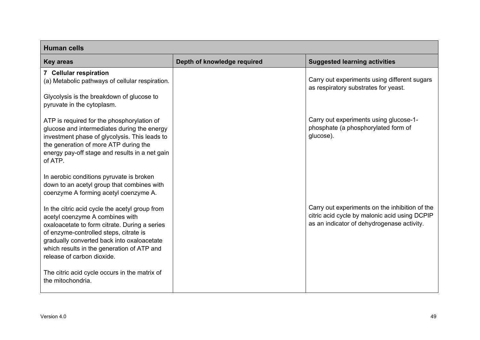| <b>Human cells</b>                                                                                                                                                                                                                                                                                     |                             |                                                                                                                                               |
|--------------------------------------------------------------------------------------------------------------------------------------------------------------------------------------------------------------------------------------------------------------------------------------------------------|-----------------------------|-----------------------------------------------------------------------------------------------------------------------------------------------|
| <b>Key areas</b>                                                                                                                                                                                                                                                                                       | Depth of knowledge required | <b>Suggested learning activities</b>                                                                                                          |
| 7 Cellular respiration<br>(a) Metabolic pathways of cellular respiration.<br>Glycolysis is the breakdown of glucose to<br>pyruvate in the cytoplasm.                                                                                                                                                   |                             | Carry out experiments using different sugars<br>as respiratory substrates for yeast.                                                          |
| ATP is required for the phosphorylation of<br>glucose and intermediates during the energy<br>investment phase of glycolysis. This leads to<br>the generation of more ATP during the<br>energy pay-off stage and results in a net gain<br>of ATP.                                                       |                             | Carry out experiments using glucose-1-<br>phosphate (a phosphorylated form of<br>glucose).                                                    |
| In aerobic conditions pyruvate is broken<br>down to an acetyl group that combines with<br>coenzyme A forming acetyl coenzyme A.                                                                                                                                                                        |                             |                                                                                                                                               |
| In the citric acid cycle the acetyl group from<br>acetyl coenzyme A combines with<br>oxaloacetate to form citrate. During a series<br>of enzyme-controlled steps, citrate is<br>gradually converted back into oxaloacetate<br>which results in the generation of ATP and<br>release of carbon dioxide. |                             | Carry out experiments on the inhibition of the<br>citric acid cycle by malonic acid using DCPIP<br>as an indicator of dehydrogenase activity. |
| The citric acid cycle occurs in the matrix of<br>the mitochondria.                                                                                                                                                                                                                                     |                             |                                                                                                                                               |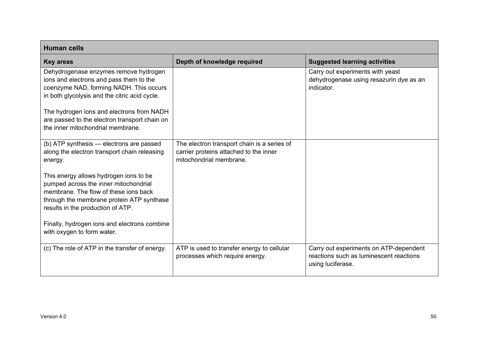| <b>Human cells</b>                                                                                                                                                                                         |                                                                                                                  |                                                                                                        |
|------------------------------------------------------------------------------------------------------------------------------------------------------------------------------------------------------------|------------------------------------------------------------------------------------------------------------------|--------------------------------------------------------------------------------------------------------|
| <b>Key areas</b>                                                                                                                                                                                           | Depth of knowledge required                                                                                      | <b>Suggested learning activities</b>                                                                   |
| Dehydrogenase enzymes remove hydrogen<br>ions and electrons and pass them to the<br>coenzyme NAD, forming NADH. This occurs<br>in both glycolysis and the citric acid cycle.                               |                                                                                                                  | Carry out experiments with yeast<br>dehydrogenase using resazurin dye as an<br>indicator.              |
| The hydrogen ions and electrons from NADH<br>are passed to the electron transport chain on<br>the inner mitochondrial membrane.                                                                            |                                                                                                                  |                                                                                                        |
| (b) ATP synthesis - electrons are passed<br>along the electron transport chain releasing<br>energy.                                                                                                        | The electron transport chain is a series of<br>carrier proteins attached to the inner<br>mitochondrial membrane. |                                                                                                        |
| This energy allows hydrogen ions to be<br>pumped across the inner mitochondrial<br>membrane. The flow of these ions back<br>through the membrane protein ATP synthase<br>results in the production of ATP. |                                                                                                                  |                                                                                                        |
| Finally, hydrogen ions and electrons combine<br>with oxygen to form water.                                                                                                                                 |                                                                                                                  |                                                                                                        |
| (c) The role of ATP in the transfer of energy.                                                                                                                                                             | ATP is used to transfer energy to cellular<br>processes which require energy.                                    | Carry out experiments on ATP-dependent<br>reactions such as luminescent reactions<br>using luciferase. |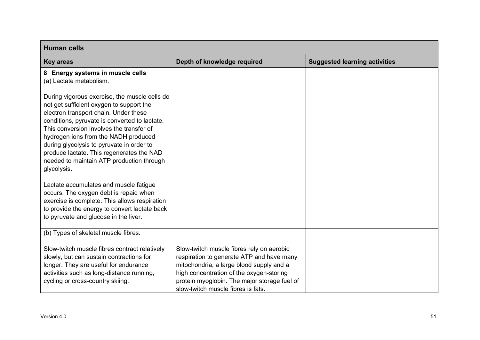| <b>Human cells</b>                                                                                                                                                                                                                                                                                                                                                                                                            |                                                                                                                                                                                                                                                                      |                                      |
|-------------------------------------------------------------------------------------------------------------------------------------------------------------------------------------------------------------------------------------------------------------------------------------------------------------------------------------------------------------------------------------------------------------------------------|----------------------------------------------------------------------------------------------------------------------------------------------------------------------------------------------------------------------------------------------------------------------|--------------------------------------|
| <b>Key areas</b>                                                                                                                                                                                                                                                                                                                                                                                                              | Depth of knowledge required                                                                                                                                                                                                                                          | <b>Suggested learning activities</b> |
| 8 Energy systems in muscle cells<br>(a) Lactate metabolism.                                                                                                                                                                                                                                                                                                                                                                   |                                                                                                                                                                                                                                                                      |                                      |
| During vigorous exercise, the muscle cells do<br>not get sufficient oxygen to support the<br>electron transport chain. Under these<br>conditions, pyruvate is converted to lactate.<br>This conversion involves the transfer of<br>hydrogen ions from the NADH produced<br>during glycolysis to pyruvate in order to<br>produce lactate. This regenerates the NAD<br>needed to maintain ATP production through<br>glycolysis. |                                                                                                                                                                                                                                                                      |                                      |
| Lactate accumulates and muscle fatigue<br>occurs. The oxygen debt is repaid when<br>exercise is complete. This allows respiration<br>to provide the energy to convert lactate back<br>to pyruvate and glucose in the liver.                                                                                                                                                                                                   |                                                                                                                                                                                                                                                                      |                                      |
| (b) Types of skeletal muscle fibres.                                                                                                                                                                                                                                                                                                                                                                                          |                                                                                                                                                                                                                                                                      |                                      |
| Slow-twitch muscle fibres contract relatively<br>slowly, but can sustain contractions for<br>longer. They are useful for endurance<br>activities such as long-distance running,<br>cycling or cross-country skiing.                                                                                                                                                                                                           | Slow-twitch muscle fibres rely on aerobic<br>respiration to generate ATP and have many<br>mitochondria, a large blood supply and a<br>high concentration of the oxygen-storing<br>protein myoglobin. The major storage fuel of<br>slow-twitch muscle fibres is fats. |                                      |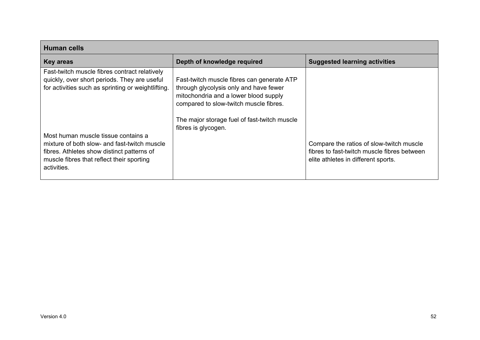| <b>Human cells</b>                                                                                                                                                                            |                                                                                                                                                                                                                                                |                                                                                                                                |
|-----------------------------------------------------------------------------------------------------------------------------------------------------------------------------------------------|------------------------------------------------------------------------------------------------------------------------------------------------------------------------------------------------------------------------------------------------|--------------------------------------------------------------------------------------------------------------------------------|
| <b>Key areas</b>                                                                                                                                                                              | Depth of knowledge required                                                                                                                                                                                                                    | <b>Suggested learning activities</b>                                                                                           |
| Fast-twitch muscle fibres contract relatively<br>quickly, over short periods. They are useful<br>for activities such as sprinting or weightlifting.                                           | Fast-twitch muscle fibres can generate ATP<br>through glycolysis only and have fewer<br>mitochondria and a lower blood supply<br>compared to slow-twitch muscle fibres.<br>The major storage fuel of fast-twitch muscle<br>fibres is glycogen. |                                                                                                                                |
| Most human muscle tissue contains a<br>mixture of both slow- and fast-twitch muscle<br>fibres. Athletes show distinct patterns of<br>muscle fibres that reflect their sporting<br>activities. |                                                                                                                                                                                                                                                | Compare the ratios of slow-twitch muscle<br>fibres to fast-twitch muscle fibres between<br>elite athletes in different sports. |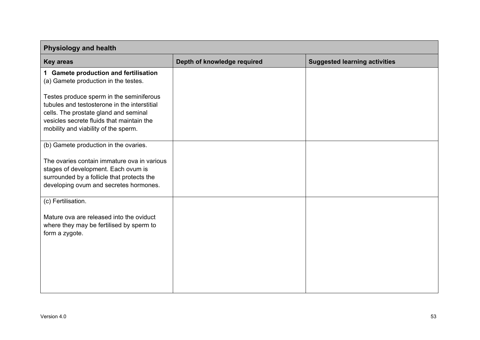| <b>Physiology and health</b>                                                                                                                                                                                           |                             |                                      |
|------------------------------------------------------------------------------------------------------------------------------------------------------------------------------------------------------------------------|-----------------------------|--------------------------------------|
| <b>Key areas</b>                                                                                                                                                                                                       | Depth of knowledge required | <b>Suggested learning activities</b> |
| 1 Gamete production and fertilisation<br>(a) Gamete production in the testes.                                                                                                                                          |                             |                                      |
| Testes produce sperm in the seminiferous<br>tubules and testosterone in the interstitial<br>cells. The prostate gland and seminal<br>vesicles secrete fluids that maintain the<br>mobility and viability of the sperm. |                             |                                      |
| (b) Gamete production in the ovaries.                                                                                                                                                                                  |                             |                                      |
| The ovaries contain immature ova in various<br>stages of development. Each ovum is<br>surrounded by a follicle that protects the<br>developing ovum and secretes hormones.                                             |                             |                                      |
| (c) Fertilisation.                                                                                                                                                                                                     |                             |                                      |
| Mature ova are released into the oviduct<br>where they may be fertilised by sperm to<br>form a zygote.                                                                                                                 |                             |                                      |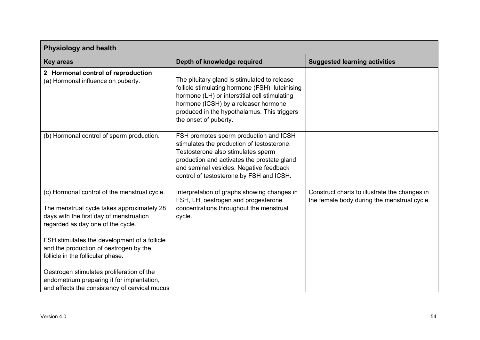| <b>Physiology and health</b>                                                                                                                                                                                                                                                                                                                                                                                                                          |                                                                                                                                                                                                                                                                  |                                                                                              |
|-------------------------------------------------------------------------------------------------------------------------------------------------------------------------------------------------------------------------------------------------------------------------------------------------------------------------------------------------------------------------------------------------------------------------------------------------------|------------------------------------------------------------------------------------------------------------------------------------------------------------------------------------------------------------------------------------------------------------------|----------------------------------------------------------------------------------------------|
| <b>Key areas</b>                                                                                                                                                                                                                                                                                                                                                                                                                                      | Depth of knowledge required                                                                                                                                                                                                                                      | <b>Suggested learning activities</b>                                                         |
| 2 Hormonal control of reproduction<br>(a) Hormonal influence on puberty.                                                                                                                                                                                                                                                                                                                                                                              | The pituitary gland is stimulated to release<br>follicle stimulating hormone (FSH), luteinising<br>hormone (LH) or interstitial cell stimulating<br>hormone (ICSH) by a releaser hormone<br>produced in the hypothalamus. This triggers<br>the onset of puberty. |                                                                                              |
| (b) Hormonal control of sperm production.                                                                                                                                                                                                                                                                                                                                                                                                             | FSH promotes sperm production and ICSH<br>stimulates the production of testosterone.<br>Testosterone also stimulates sperm<br>production and activates the prostate gland<br>and seminal vesicles. Negative feedback<br>control of testosterone by FSH and ICSH. |                                                                                              |
| (c) Hormonal control of the menstrual cycle.<br>The menstrual cycle takes approximately 28<br>days with the first day of menstruation<br>regarded as day one of the cycle.<br>FSH stimulates the development of a follicle<br>and the production of oestrogen by the<br>follicle in the follicular phase.<br>Oestrogen stimulates proliferation of the<br>endometrium preparing it for implantation,<br>and affects the consistency of cervical mucus | Interpretation of graphs showing changes in<br>FSH, LH, oestrogen and progesterone<br>concentrations throughout the menstrual<br>cycle.                                                                                                                          | Construct charts to illustrate the changes in<br>the female body during the menstrual cycle. |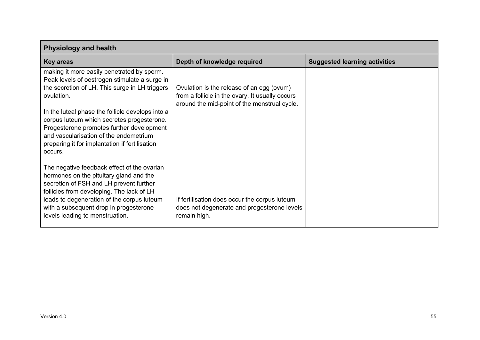| <b>Physiology and health</b>                                                                                                                                                                                                                                                                              |                                                                                                                                              |                                      |
|-----------------------------------------------------------------------------------------------------------------------------------------------------------------------------------------------------------------------------------------------------------------------------------------------------------|----------------------------------------------------------------------------------------------------------------------------------------------|--------------------------------------|
| <b>Key areas</b>                                                                                                                                                                                                                                                                                          | Depth of knowledge required                                                                                                                  | <b>Suggested learning activities</b> |
| making it more easily penetrated by sperm.<br>Peak levels of oestrogen stimulate a surge in<br>the secretion of LH. This surge in LH triggers<br>ovulation.                                                                                                                                               | Ovulation is the release of an egg (ovum)<br>from a follicle in the ovary. It usually occurs<br>around the mid-point of the menstrual cycle. |                                      |
| In the luteal phase the follicle develops into a<br>corpus luteum which secretes progesterone.<br>Progesterone promotes further development<br>and vascularisation of the endometrium<br>preparing it for implantation if fertilisation<br>occurs.                                                        |                                                                                                                                              |                                      |
| The negative feedback effect of the ovarian<br>hormones on the pituitary gland and the<br>secretion of FSH and LH prevent further<br>follicles from developing. The lack of LH<br>leads to degeneration of the corpus luteum<br>with a subsequent drop in progesterone<br>levels leading to menstruation. | If fertilisation does occur the corpus luteum<br>does not degenerate and progesterone levels<br>remain high.                                 |                                      |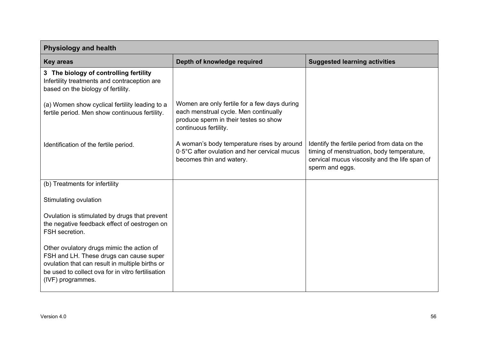| <b>Physiology and health</b>                                                                                                                                                                                      |                                                                                                                                                         |                                                                                                                                                               |
|-------------------------------------------------------------------------------------------------------------------------------------------------------------------------------------------------------------------|---------------------------------------------------------------------------------------------------------------------------------------------------------|---------------------------------------------------------------------------------------------------------------------------------------------------------------|
| <b>Key areas</b>                                                                                                                                                                                                  | Depth of knowledge required                                                                                                                             | <b>Suggested learning activities</b>                                                                                                                          |
| 3 The biology of controlling fertility<br>Infertility treatments and contraception are<br>based on the biology of fertility.                                                                                      |                                                                                                                                                         |                                                                                                                                                               |
| (a) Women show cyclical fertility leading to a<br>fertile period. Men show continuous fertility.                                                                                                                  | Women are only fertile for a few days during<br>each menstrual cycle. Men continually<br>produce sperm in their testes so show<br>continuous fertility. |                                                                                                                                                               |
| Identification of the fertile period.                                                                                                                                                                             | A woman's body temperature rises by around<br>0.5°C after ovulation and her cervical mucus<br>becomes thin and watery.                                  | Identify the fertile period from data on the<br>timing of menstruation, body temperature,<br>cervical mucus viscosity and the life span of<br>sperm and eggs. |
| (b) Treatments for infertility                                                                                                                                                                                    |                                                                                                                                                         |                                                                                                                                                               |
| Stimulating ovulation                                                                                                                                                                                             |                                                                                                                                                         |                                                                                                                                                               |
| Ovulation is stimulated by drugs that prevent<br>the negative feedback effect of oestrogen on<br>FSH secretion.                                                                                                   |                                                                                                                                                         |                                                                                                                                                               |
| Other ovulatory drugs mimic the action of<br>FSH and LH. These drugs can cause super<br>ovulation that can result in multiple births or<br>be used to collect ova for in vitro fertilisation<br>(IVF) programmes. |                                                                                                                                                         |                                                                                                                                                               |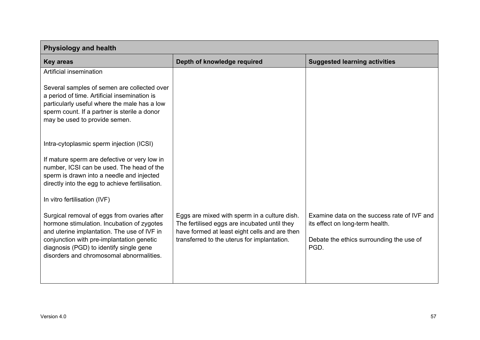| <b>Physiology and health</b>                                                                                                                                                                                                                                                 |                                                                                                                                                                                              |                                                                                                                                    |
|------------------------------------------------------------------------------------------------------------------------------------------------------------------------------------------------------------------------------------------------------------------------------|----------------------------------------------------------------------------------------------------------------------------------------------------------------------------------------------|------------------------------------------------------------------------------------------------------------------------------------|
| <b>Key areas</b>                                                                                                                                                                                                                                                             | Depth of knowledge required                                                                                                                                                                  | <b>Suggested learning activities</b>                                                                                               |
| Artificial insemination                                                                                                                                                                                                                                                      |                                                                                                                                                                                              |                                                                                                                                    |
| Several samples of semen are collected over<br>a period of time. Artificial insemination is<br>particularly useful where the male has a low<br>sperm count. If a partner is sterile a donor<br>may be used to provide semen.                                                 |                                                                                                                                                                                              |                                                                                                                                    |
| Intra-cytoplasmic sperm injection (ICSI)                                                                                                                                                                                                                                     |                                                                                                                                                                                              |                                                                                                                                    |
| If mature sperm are defective or very low in<br>number, ICSI can be used. The head of the<br>sperm is drawn into a needle and injected<br>directly into the egg to achieve fertilisation.                                                                                    |                                                                                                                                                                                              |                                                                                                                                    |
| In vitro fertilisation (IVF)                                                                                                                                                                                                                                                 |                                                                                                                                                                                              |                                                                                                                                    |
| Surgical removal of eggs from ovaries after<br>hormone stimulation. Incubation of zygotes<br>and uterine implantation. The use of IVF in<br>conjunction with pre-implantation genetic<br>diagnosis (PGD) to identify single gene<br>disorders and chromosomal abnormalities. | Eggs are mixed with sperm in a culture dish.<br>The fertilised eggs are incubated until they<br>have formed at least eight cells and are then<br>transferred to the uterus for implantation. | Examine data on the success rate of IVF and<br>its effect on long-term health.<br>Debate the ethics surrounding the use of<br>PGD. |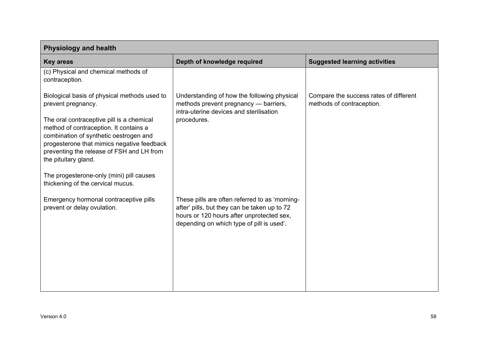| <b>Physiology and health</b>                                                                                                                                                                                                                                                                                                                                                                            |                                                                                                                                                                                          |                                                                     |
|---------------------------------------------------------------------------------------------------------------------------------------------------------------------------------------------------------------------------------------------------------------------------------------------------------------------------------------------------------------------------------------------------------|------------------------------------------------------------------------------------------------------------------------------------------------------------------------------------------|---------------------------------------------------------------------|
| <b>Key areas</b>                                                                                                                                                                                                                                                                                                                                                                                        | Depth of knowledge required                                                                                                                                                              | <b>Suggested learning activities</b>                                |
| (c) Physical and chemical methods of<br>contraception.                                                                                                                                                                                                                                                                                                                                                  |                                                                                                                                                                                          |                                                                     |
| Biological basis of physical methods used to<br>prevent pregnancy.<br>The oral contraceptive pill is a chemical<br>method of contraception. It contains a<br>combination of synthetic oestrogen and<br>progesterone that mimics negative feedback<br>preventing the release of FSH and LH from<br>the pituitary gland.<br>The progesterone-only (mini) pill causes<br>thickening of the cervical mucus. | Understanding of how the following physical<br>methods prevent pregnancy - barriers,<br>intra-uterine devices and sterilisation<br>procedures.                                           | Compare the success rates of different<br>methods of contraception. |
| Emergency hormonal contraceptive pills<br>prevent or delay ovulation.                                                                                                                                                                                                                                                                                                                                   | These pills are often referred to as 'morning-<br>after' pills, but they can be taken up to 72<br>hours or 120 hours after unprotected sex,<br>depending on which type of pill is used'. |                                                                     |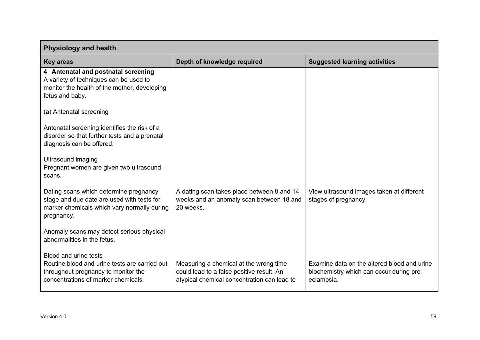| <b>Physiology and health</b>                                                                                                                         |                                                                                                                                    |                                                                                                       |
|------------------------------------------------------------------------------------------------------------------------------------------------------|------------------------------------------------------------------------------------------------------------------------------------|-------------------------------------------------------------------------------------------------------|
| <b>Key areas</b>                                                                                                                                     | Depth of knowledge required                                                                                                        | <b>Suggested learning activities</b>                                                                  |
| 4 Antenatal and postnatal screening<br>A variety of techniques can be used to<br>monitor the health of the mother, developing<br>fetus and baby.     |                                                                                                                                    |                                                                                                       |
| (a) Antenatal screening                                                                                                                              |                                                                                                                                    |                                                                                                       |
| Antenatal screening identifies the risk of a<br>disorder so that further tests and a prenatal<br>diagnosis can be offered.                           |                                                                                                                                    |                                                                                                       |
| <b>Ultrasound imaging</b><br>Pregnant women are given two ultrasound<br>scans.                                                                       |                                                                                                                                    |                                                                                                       |
| Dating scans which determine pregnancy<br>stage and due date are used with tests for<br>marker chemicals which vary normally during<br>pregnancy.    | A dating scan takes place between 8 and 14<br>weeks and an anomaly scan between 18 and<br>20 weeks.                                | View ultrasound images taken at different<br>stages of pregnancy.                                     |
| Anomaly scans may detect serious physical<br>abnormalities in the fetus.                                                                             |                                                                                                                                    |                                                                                                       |
| Blood and urine tests<br>Routine blood and urine tests are carried out<br>throughout pregnancy to monitor the<br>concentrations of marker chemicals. | Measuring a chemical at the wrong time<br>could lead to a false positive result. An<br>atypical chemical concentration can lead to | Examine data on the altered blood and urine<br>biochemistry which can occur during pre-<br>eclampsia. |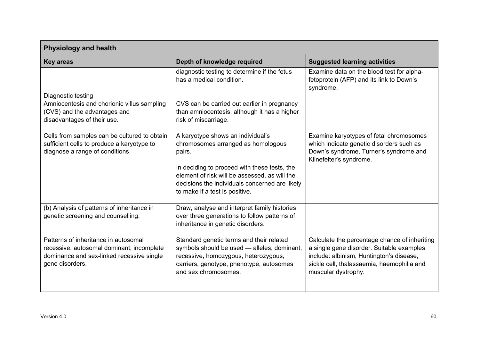| <b>Physiology and health</b>                                                                                                                      |                                                                                                                                                                                                     |                                                                                                                                                                                                             |
|---------------------------------------------------------------------------------------------------------------------------------------------------|-----------------------------------------------------------------------------------------------------------------------------------------------------------------------------------------------------|-------------------------------------------------------------------------------------------------------------------------------------------------------------------------------------------------------------|
| <b>Key areas</b>                                                                                                                                  | Depth of knowledge required                                                                                                                                                                         | <b>Suggested learning activities</b>                                                                                                                                                                        |
| Diagnostic testing                                                                                                                                | diagnostic testing to determine if the fetus<br>has a medical condition.                                                                                                                            | Examine data on the blood test for alpha-<br>fetoprotein (AFP) and its link to Down's<br>syndrome.                                                                                                          |
| Amniocentesis and chorionic villus sampling<br>(CVS) and the advantages and<br>disadvantages of their use.                                        | CVS can be carried out earlier in pregnancy<br>than amniocentesis, although it has a higher<br>risk of miscarriage.                                                                                 |                                                                                                                                                                                                             |
| Cells from samples can be cultured to obtain<br>sufficient cells to produce a karyotype to<br>diagnose a range of conditions.                     | A karyotype shows an individual's<br>chromosomes arranged as homologous<br>pairs.                                                                                                                   | Examine karyotypes of fetal chromosomes<br>which indicate genetic disorders such as<br>Down's syndrome, Turner's syndrome and<br>Klinefelter's syndrome.                                                    |
|                                                                                                                                                   | In deciding to proceed with these tests, the<br>element of risk will be assessed, as will the<br>decisions the individuals concerned are likely<br>to make if a test is positive.                   |                                                                                                                                                                                                             |
| (b) Analysis of patterns of inheritance in<br>genetic screening and counselling.                                                                  | Draw, analyse and interpret family histories<br>over three generations to follow patterns of<br>inheritance in genetic disorders.                                                                   |                                                                                                                                                                                                             |
| Patterns of inheritance in autosomal<br>recessive, autosomal dominant, incomplete<br>dominance and sex-linked recessive single<br>gene disorders. | Standard genetic terms and their related<br>symbols should be used - alleles, dominant,<br>recessive, homozygous, heterozygous,<br>carriers, genotype, phenotype, autosomes<br>and sex chromosomes. | Calculate the percentage chance of inheriting<br>a single gene disorder. Suitable examples<br>include: albinism, Huntington's disease,<br>sickle cell, thalassaemia, haemophilia and<br>muscular dystrophy. |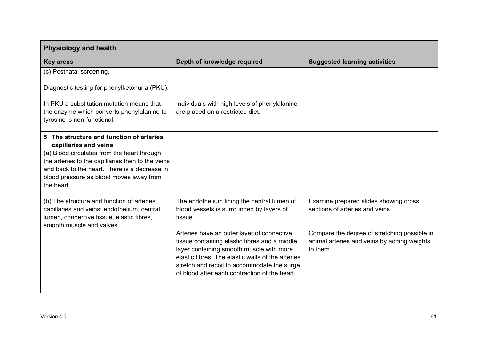| <b>Physiology and health</b>                                                                                                                                                                                                                                                     |                                                                                                                                                                                                                                                                                                                                                                                                    |                                                                                                                                                                                     |
|----------------------------------------------------------------------------------------------------------------------------------------------------------------------------------------------------------------------------------------------------------------------------------|----------------------------------------------------------------------------------------------------------------------------------------------------------------------------------------------------------------------------------------------------------------------------------------------------------------------------------------------------------------------------------------------------|-------------------------------------------------------------------------------------------------------------------------------------------------------------------------------------|
| <b>Key areas</b>                                                                                                                                                                                                                                                                 | Depth of knowledge required                                                                                                                                                                                                                                                                                                                                                                        | <b>Suggested learning activities</b>                                                                                                                                                |
| (c) Postnatal screening.                                                                                                                                                                                                                                                         |                                                                                                                                                                                                                                                                                                                                                                                                    |                                                                                                                                                                                     |
| Diagnostic testing for phenylketonuria (PKU).                                                                                                                                                                                                                                    |                                                                                                                                                                                                                                                                                                                                                                                                    |                                                                                                                                                                                     |
| In PKU a substitution mutation means that<br>the enzyme which converts phenylalanine to<br>tyrosine is non-functional.                                                                                                                                                           | Individuals with high levels of phenylalanine<br>are placed on a restricted diet.                                                                                                                                                                                                                                                                                                                  |                                                                                                                                                                                     |
| 5 The structure and function of arteries,<br>capillaries and veins<br>(a) Blood circulates from the heart through<br>the arteries to the capillaries then to the veins<br>and back to the heart. There is a decrease in<br>blood pressure as blood moves away from<br>the heart. |                                                                                                                                                                                                                                                                                                                                                                                                    |                                                                                                                                                                                     |
| (b) The structure and function of arteries,<br>capillaries and veins: endothelium, central<br>lumen, connective tissue, elastic fibres,<br>smooth muscle and valves.                                                                                                             | The endothelium lining the central lumen of<br>blood vessels is surrounded by layers of<br>tissue.<br>Arteries have an outer layer of connective<br>tissue containing elastic fibres and a middle<br>layer containing smooth muscle with more<br>elastic fibres. The elastic walls of the arteries<br>stretch and recoil to accommodate the surge<br>of blood after each contraction of the heart. | Examine prepared slides showing cross<br>sections of arteries and veins.<br>Compare the degree of stretching possible in<br>animal arteries and veins by adding weights<br>to them. |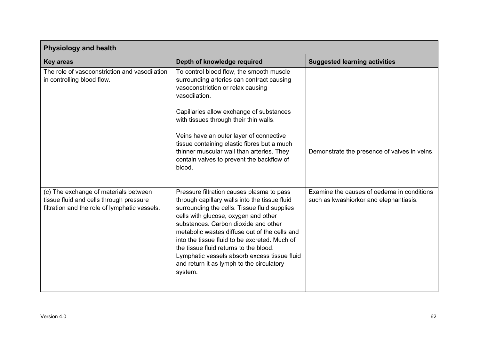| <b>Physiology and health</b>                                                                                                      |                                                                                                                                                                                                                                                                                                                                                                                                                                                                                |                                                                                      |
|-----------------------------------------------------------------------------------------------------------------------------------|--------------------------------------------------------------------------------------------------------------------------------------------------------------------------------------------------------------------------------------------------------------------------------------------------------------------------------------------------------------------------------------------------------------------------------------------------------------------------------|--------------------------------------------------------------------------------------|
| <b>Key areas</b>                                                                                                                  | Depth of knowledge required                                                                                                                                                                                                                                                                                                                                                                                                                                                    | <b>Suggested learning activities</b>                                                 |
| The role of vasoconstriction and vasodilation<br>in controlling blood flow.                                                       | To control blood flow, the smooth muscle<br>surrounding arteries can contract causing<br>vasoconstriction or relax causing<br>vasodilation.                                                                                                                                                                                                                                                                                                                                    |                                                                                      |
|                                                                                                                                   | Capillaries allow exchange of substances<br>with tissues through their thin walls.<br>Veins have an outer layer of connective<br>tissue containing elastic fibres but a much<br>thinner muscular wall than arteries. They<br>contain valves to prevent the backflow of<br>blood.                                                                                                                                                                                               | Demonstrate the presence of valves in veins.                                         |
| (c) The exchange of materials between<br>tissue fluid and cells through pressure<br>filtration and the role of lymphatic vessels. | Pressure filtration causes plasma to pass<br>through capillary walls into the tissue fluid<br>surrounding the cells. Tissue fluid supplies<br>cells with glucose, oxygen and other<br>substances. Carbon dioxide and other<br>metabolic wastes diffuse out of the cells and<br>into the tissue fluid to be excreted. Much of<br>the tissue fluid returns to the blood.<br>Lymphatic vessels absorb excess tissue fluid<br>and return it as lymph to the circulatory<br>system. | Examine the causes of oedema in conditions<br>such as kwashiorkor and elephantiasis. |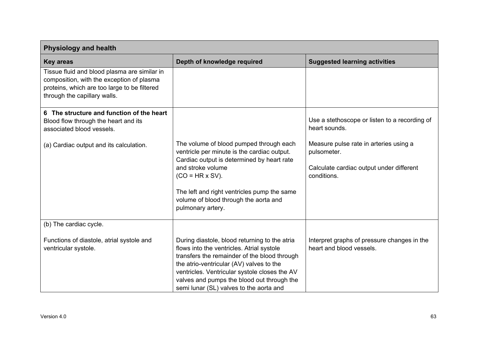| <b>Physiology and health</b>                                                                                                                                              |                                                                                                                                                                                                                                                                                                                                  |                                                                                                                  |
|---------------------------------------------------------------------------------------------------------------------------------------------------------------------------|----------------------------------------------------------------------------------------------------------------------------------------------------------------------------------------------------------------------------------------------------------------------------------------------------------------------------------|------------------------------------------------------------------------------------------------------------------|
| <b>Key areas</b>                                                                                                                                                          | Depth of knowledge required                                                                                                                                                                                                                                                                                                      | <b>Suggested learning activities</b>                                                                             |
| Tissue fluid and blood plasma are similar in<br>composition, with the exception of plasma<br>proteins, which are too large to be filtered<br>through the capillary walls. |                                                                                                                                                                                                                                                                                                                                  |                                                                                                                  |
| 6 The structure and function of the heart<br>Blood flow through the heart and its<br>associated blood vessels.                                                            |                                                                                                                                                                                                                                                                                                                                  | Use a stethoscope or listen to a recording of<br>heart sounds.                                                   |
| (a) Cardiac output and its calculation.                                                                                                                                   | The volume of blood pumped through each<br>ventricle per minute is the cardiac output.<br>Cardiac output is determined by heart rate<br>and stroke volume<br>$(CO = HR \times SV)$ .<br>The left and right ventricles pump the same<br>volume of blood through the aorta and<br>pulmonary artery.                                | Measure pulse rate in arteries using a<br>pulsometer.<br>Calculate cardiac output under different<br>conditions. |
| (b) The cardiac cycle.                                                                                                                                                    |                                                                                                                                                                                                                                                                                                                                  |                                                                                                                  |
| Functions of diastole, atrial systole and<br>ventricular systole.                                                                                                         | During diastole, blood returning to the atria<br>flows into the ventricles. Atrial systole<br>transfers the remainder of the blood through<br>the atrio-ventricular (AV) valves to the<br>ventricles. Ventricular systole closes the AV<br>valves and pumps the blood out through the<br>semi lunar (SL) valves to the aorta and | Interpret graphs of pressure changes in the<br>heart and blood vessels.                                          |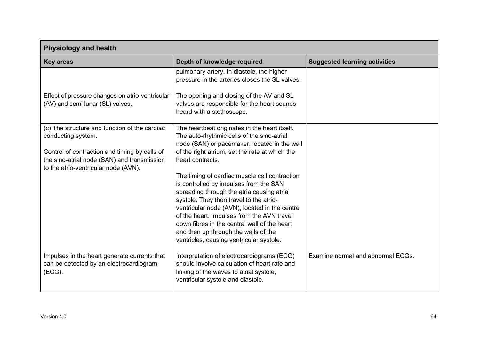| <b>Physiology and health</b>                                                                                                                                        |                                                                                                                                                                                                                                                                                                                                                                                                                     |                                      |
|---------------------------------------------------------------------------------------------------------------------------------------------------------------------|---------------------------------------------------------------------------------------------------------------------------------------------------------------------------------------------------------------------------------------------------------------------------------------------------------------------------------------------------------------------------------------------------------------------|--------------------------------------|
| <b>Key areas</b>                                                                                                                                                    | Depth of knowledge required                                                                                                                                                                                                                                                                                                                                                                                         | <b>Suggested learning activities</b> |
|                                                                                                                                                                     | pulmonary artery. In diastole, the higher<br>pressure in the arteries closes the SL valves.                                                                                                                                                                                                                                                                                                                         |                                      |
| Effect of pressure changes on atrio-ventricular<br>(AV) and semi lunar (SL) valves.                                                                                 | The opening and closing of the AV and SL<br>valves are responsible for the heart sounds<br>heard with a stethoscope.                                                                                                                                                                                                                                                                                                |                                      |
| (c) The structure and function of the cardiac<br>conducting system.<br>Control of contraction and timing by cells of<br>the sino-atrial node (SAN) and transmission | The heartbeat originates in the heart itself.<br>The auto-rhythmic cells of the sino-atrial<br>node (SAN) or pacemaker, located in the wall<br>of the right atrium, set the rate at which the<br>heart contracts.                                                                                                                                                                                                   |                                      |
| to the atrio-ventricular node (AVN).                                                                                                                                | The timing of cardiac muscle cell contraction<br>is controlled by impulses from the SAN<br>spreading through the atria causing atrial<br>systole. They then travel to the atrio-<br>ventricular node (AVN), located in the centre<br>of the heart. Impulses from the AVN travel<br>down fibres in the central wall of the heart<br>and then up through the walls of the<br>ventricles, causing ventricular systole. |                                      |
| Impulses in the heart generate currents that<br>can be detected by an electrocardiogram<br>(ECG).                                                                   | Interpretation of electrocardiograms (ECG)<br>should involve calculation of heart rate and<br>linking of the waves to atrial systole,<br>ventricular systole and diastole.                                                                                                                                                                                                                                          | Examine normal and abnormal ECGs.    |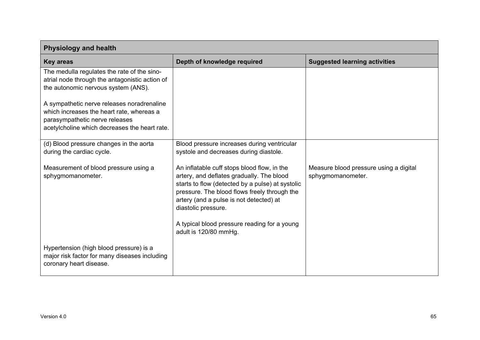| <b>Physiology and health</b>                                                                                                                                               |                                                                                                                                                                                                                                                                                                                                         |                                                             |
|----------------------------------------------------------------------------------------------------------------------------------------------------------------------------|-----------------------------------------------------------------------------------------------------------------------------------------------------------------------------------------------------------------------------------------------------------------------------------------------------------------------------------------|-------------------------------------------------------------|
| <b>Key areas</b>                                                                                                                                                           | Depth of knowledge required                                                                                                                                                                                                                                                                                                             | <b>Suggested learning activities</b>                        |
| The medulla regulates the rate of the sino-<br>atrial node through the antagonistic action of<br>the autonomic nervous system (ANS).                                       |                                                                                                                                                                                                                                                                                                                                         |                                                             |
| A sympathetic nerve releases noradrenaline<br>which increases the heart rate, whereas a<br>parasympathetic nerve releases<br>acetylcholine which decreases the heart rate. |                                                                                                                                                                                                                                                                                                                                         |                                                             |
| (d) Blood pressure changes in the aorta<br>during the cardiac cycle.                                                                                                       | Blood pressure increases during ventricular<br>systole and decreases during diastole.                                                                                                                                                                                                                                                   |                                                             |
| Measurement of blood pressure using a<br>sphygmomanometer.                                                                                                                 | An inflatable cuff stops blood flow, in the<br>artery, and deflates gradually. The blood<br>starts to flow (detected by a pulse) at systolic<br>pressure. The blood flows freely through the<br>artery (and a pulse is not detected) at<br>diastolic pressure.<br>A typical blood pressure reading for a young<br>adult is 120/80 mmHg. | Measure blood pressure using a digital<br>sphygmomanometer. |
| Hypertension (high blood pressure) is a<br>major risk factor for many diseases including<br>coronary heart disease.                                                        |                                                                                                                                                                                                                                                                                                                                         |                                                             |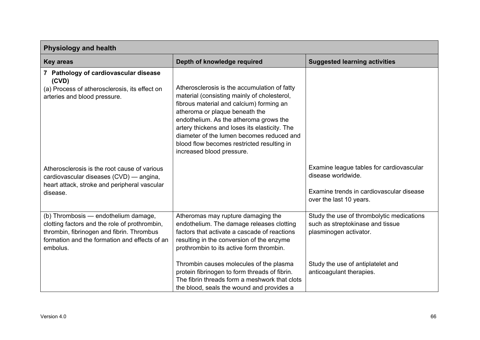| <b>Physiology and health</b>                                                                                                                                                                    |                                                                                                                                                                                                                                                                                                                                                                                              |                                                                                                                                       |
|-------------------------------------------------------------------------------------------------------------------------------------------------------------------------------------------------|----------------------------------------------------------------------------------------------------------------------------------------------------------------------------------------------------------------------------------------------------------------------------------------------------------------------------------------------------------------------------------------------|---------------------------------------------------------------------------------------------------------------------------------------|
| <b>Key areas</b>                                                                                                                                                                                | Depth of knowledge required                                                                                                                                                                                                                                                                                                                                                                  | <b>Suggested learning activities</b>                                                                                                  |
| 7 Pathology of cardiovascular disease<br>(CVD)<br>(a) Process of atherosclerosis, its effect on<br>arteries and blood pressure.                                                                 | Atherosclerosis is the accumulation of fatty<br>material (consisting mainly of cholesterol,<br>fibrous material and calcium) forming an<br>atheroma or plaque beneath the<br>endothelium. As the atheroma grows the<br>artery thickens and loses its elasticity. The<br>diameter of the lumen becomes reduced and<br>blood flow becomes restricted resulting in<br>increased blood pressure. |                                                                                                                                       |
| Atherosclerosis is the root cause of various<br>cardiovascular diseases (CVD) — angina,<br>heart attack, stroke and peripheral vascular<br>disease.                                             |                                                                                                                                                                                                                                                                                                                                                                                              | Examine league tables for cardiovascular<br>disease worldwide.<br>Examine trends in cardiovascular disease<br>over the last 10 years. |
| (b) Thrombosis - endothelium damage,<br>clotting factors and the role of prothrombin,<br>thrombin, fibrinogen and fibrin. Thrombus<br>formation and the formation and effects of an<br>embolus. | Atheromas may rupture damaging the<br>endothelium. The damage releases clotting<br>factors that activate a cascade of reactions<br>resulting in the conversion of the enzyme<br>prothrombin to its active form thrombin.                                                                                                                                                                     | Study the use of thrombolytic medications<br>such as streptokinase and tissue<br>plasminogen activator.                               |
|                                                                                                                                                                                                 | Thrombin causes molecules of the plasma<br>protein fibrinogen to form threads of fibrin.<br>The fibrin threads form a meshwork that clots<br>the blood, seals the wound and provides a                                                                                                                                                                                                       | Study the use of antiplatelet and<br>anticoagulant therapies.                                                                         |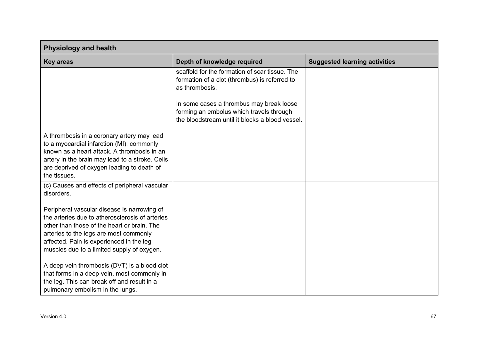| <b>Physiology and health</b>                                                                                                                                                                                                                                                      |                                                                                                                                         |                                      |
|-----------------------------------------------------------------------------------------------------------------------------------------------------------------------------------------------------------------------------------------------------------------------------------|-----------------------------------------------------------------------------------------------------------------------------------------|--------------------------------------|
| <b>Key areas</b>                                                                                                                                                                                                                                                                  | Depth of knowledge required                                                                                                             | <b>Suggested learning activities</b> |
|                                                                                                                                                                                                                                                                                   | scaffold for the formation of scar tissue. The<br>formation of a clot (thrombus) is referred to<br>as thrombosis.                       |                                      |
|                                                                                                                                                                                                                                                                                   | In some cases a thrombus may break loose<br>forming an embolus which travels through<br>the bloodstream until it blocks a blood vessel. |                                      |
| A thrombosis in a coronary artery may lead<br>to a myocardial infarction (MI), commonly<br>known as a heart attack. A thrombosis in an<br>artery in the brain may lead to a stroke. Cells<br>are deprived of oxygen leading to death of<br>the tissues.                           |                                                                                                                                         |                                      |
| (c) Causes and effects of peripheral vascular<br>disorders.                                                                                                                                                                                                                       |                                                                                                                                         |                                      |
| Peripheral vascular disease is narrowing of<br>the arteries due to atherosclerosis of arteries<br>other than those of the heart or brain. The<br>arteries to the legs are most commonly<br>affected. Pain is experienced in the leg<br>muscles due to a limited supply of oxygen. |                                                                                                                                         |                                      |
| A deep vein thrombosis (DVT) is a blood clot<br>that forms in a deep vein, most commonly in<br>the leg. This can break off and result in a<br>pulmonary embolism in the lungs.                                                                                                    |                                                                                                                                         |                                      |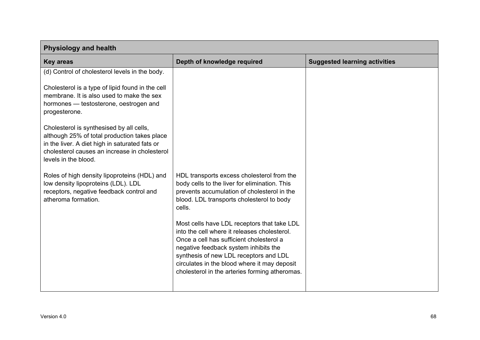| <b>Physiology and health</b>                                                                                                                                                                                                                           |                                                                                                                                                                                                                                                                                                                              |                                      |
|--------------------------------------------------------------------------------------------------------------------------------------------------------------------------------------------------------------------------------------------------------|------------------------------------------------------------------------------------------------------------------------------------------------------------------------------------------------------------------------------------------------------------------------------------------------------------------------------|--------------------------------------|
| <b>Key areas</b>                                                                                                                                                                                                                                       | Depth of knowledge required                                                                                                                                                                                                                                                                                                  | <b>Suggested learning activities</b> |
| (d) Control of cholesterol levels in the body.<br>Cholesterol is a type of lipid found in the cell<br>membrane. It is also used to make the sex<br>hormones - testosterone, oestrogen and<br>progesterone.<br>Cholesterol is synthesised by all cells, |                                                                                                                                                                                                                                                                                                                              |                                      |
| although 25% of total production takes place<br>in the liver. A diet high in saturated fats or<br>cholesterol causes an increase in cholesterol<br>levels in the blood.                                                                                |                                                                                                                                                                                                                                                                                                                              |                                      |
| Roles of high density lipoproteins (HDL) and<br>low density lipoproteins (LDL). LDL<br>receptors, negative feedback control and<br>atheroma formation.                                                                                                 | HDL transports excess cholesterol from the<br>body cells to the liver for elimination. This<br>prevents accumulation of cholesterol in the<br>blood. LDL transports cholesterol to body<br>cells.                                                                                                                            |                                      |
|                                                                                                                                                                                                                                                        | Most cells have LDL receptors that take LDL<br>into the cell where it releases cholesterol.<br>Once a cell has sufficient cholesterol a<br>negative feedback system inhibits the<br>synthesis of new LDL receptors and LDL<br>circulates in the blood where it may deposit<br>cholesterol in the arteries forming atheromas. |                                      |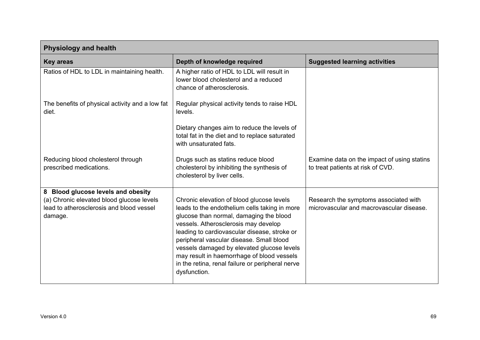| <b>Physiology and health</b>                                                                                                           |                                                                                                                                                                                                                                                                                                                                                                                                                                           |                                                                                   |
|----------------------------------------------------------------------------------------------------------------------------------------|-------------------------------------------------------------------------------------------------------------------------------------------------------------------------------------------------------------------------------------------------------------------------------------------------------------------------------------------------------------------------------------------------------------------------------------------|-----------------------------------------------------------------------------------|
| <b>Key areas</b>                                                                                                                       | Depth of knowledge required                                                                                                                                                                                                                                                                                                                                                                                                               | <b>Suggested learning activities</b>                                              |
| Ratios of HDL to LDL in maintaining health.                                                                                            | A higher ratio of HDL to LDL will result in<br>lower blood cholesterol and a reduced<br>chance of atherosclerosis.                                                                                                                                                                                                                                                                                                                        |                                                                                   |
| The benefits of physical activity and a low fat<br>diet.                                                                               | Regular physical activity tends to raise HDL<br>levels.                                                                                                                                                                                                                                                                                                                                                                                   |                                                                                   |
|                                                                                                                                        | Dietary changes aim to reduce the levels of<br>total fat in the diet and to replace saturated<br>with unsaturated fats.                                                                                                                                                                                                                                                                                                                   |                                                                                   |
| Reducing blood cholesterol through<br>prescribed medications.                                                                          | Drugs such as statins reduce blood<br>cholesterol by inhibiting the synthesis of<br>cholesterol by liver cells.                                                                                                                                                                                                                                                                                                                           | Examine data on the impact of using statins<br>to treat patients at risk of CVD.  |
| 8 Blood glucose levels and obesity<br>(a) Chronic elevated blood glucose levels<br>lead to atherosclerosis and blood vessel<br>damage. | Chronic elevation of blood glucose levels<br>leads to the endothelium cells taking in more<br>glucose than normal, damaging the blood<br>vessels. Atherosclerosis may develop<br>leading to cardiovascular disease, stroke or<br>peripheral vascular disease. Small blood<br>vessels damaged by elevated glucose levels<br>may result in haemorrhage of blood vessels<br>in the retina, renal failure or peripheral nerve<br>dysfunction. | Research the symptoms associated with<br>microvascular and macrovascular disease. |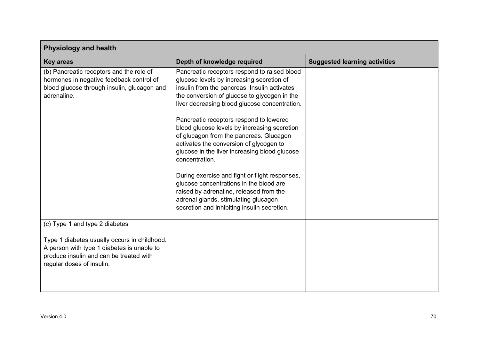| <b>Physiology and health</b>                                                                                                                                                                         |                                                                                                                                                                                                                                                                                                                                                                                                                                                                                                                                                                                                                                                                                                                               |                                      |
|------------------------------------------------------------------------------------------------------------------------------------------------------------------------------------------------------|-------------------------------------------------------------------------------------------------------------------------------------------------------------------------------------------------------------------------------------------------------------------------------------------------------------------------------------------------------------------------------------------------------------------------------------------------------------------------------------------------------------------------------------------------------------------------------------------------------------------------------------------------------------------------------------------------------------------------------|--------------------------------------|
| <b>Key areas</b>                                                                                                                                                                                     | Depth of knowledge required                                                                                                                                                                                                                                                                                                                                                                                                                                                                                                                                                                                                                                                                                                   | <b>Suggested learning activities</b> |
| (b) Pancreatic receptors and the role of<br>hormones in negative feedback control of<br>blood glucose through insulin, glucagon and<br>adrenaline.                                                   | Pancreatic receptors respond to raised blood<br>glucose levels by increasing secretion of<br>insulin from the pancreas. Insulin activates<br>the conversion of glucose to glycogen in the<br>liver decreasing blood glucose concentration.<br>Pancreatic receptors respond to lowered<br>blood glucose levels by increasing secretion<br>of glucagon from the pancreas. Glucagon<br>activates the conversion of glycogen to<br>glucose in the liver increasing blood glucose<br>concentration.<br>During exercise and fight or flight responses,<br>glucose concentrations in the blood are<br>raised by adrenaline, released from the<br>adrenal glands, stimulating glucagon<br>secretion and inhibiting insulin secretion. |                                      |
| (c) Type 1 and type 2 diabetes<br>Type 1 diabetes usually occurs in childhood.<br>A person with type 1 diabetes is unable to<br>produce insulin and can be treated with<br>regular doses of insulin. |                                                                                                                                                                                                                                                                                                                                                                                                                                                                                                                                                                                                                                                                                                                               |                                      |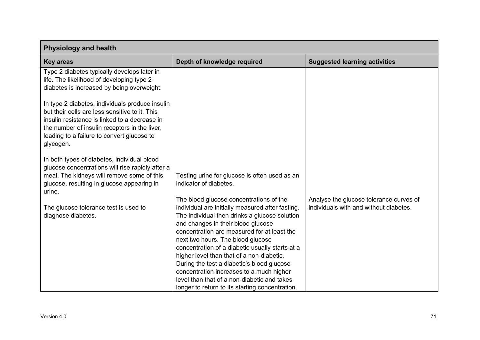| <b>Physiology and health</b>                                                                                                                                                                                                                                   |                                                                                                                                                                                                                                                                                                                                                                                                                                                                                                                                                                    |                                                                                   |
|----------------------------------------------------------------------------------------------------------------------------------------------------------------------------------------------------------------------------------------------------------------|--------------------------------------------------------------------------------------------------------------------------------------------------------------------------------------------------------------------------------------------------------------------------------------------------------------------------------------------------------------------------------------------------------------------------------------------------------------------------------------------------------------------------------------------------------------------|-----------------------------------------------------------------------------------|
| <b>Key areas</b>                                                                                                                                                                                                                                               | Depth of knowledge required                                                                                                                                                                                                                                                                                                                                                                                                                                                                                                                                        | <b>Suggested learning activities</b>                                              |
| Type 2 diabetes typically develops later in<br>life. The likelihood of developing type 2<br>diabetes is increased by being overweight.                                                                                                                         |                                                                                                                                                                                                                                                                                                                                                                                                                                                                                                                                                                    |                                                                                   |
| In type 2 diabetes, individuals produce insulin<br>but their cells are less sensitive to it. This<br>insulin resistance is linked to a decrease in<br>the number of insulin receptors in the liver,<br>leading to a failure to convert glucose to<br>glycogen. |                                                                                                                                                                                                                                                                                                                                                                                                                                                                                                                                                                    |                                                                                   |
| In both types of diabetes, individual blood<br>glucose concentrations will rise rapidly after a<br>meal. The kidneys will remove some of this<br>glucose, resulting in glucose appearing in<br>urine.                                                          | Testing urine for glucose is often used as an<br>indicator of diabetes.                                                                                                                                                                                                                                                                                                                                                                                                                                                                                            |                                                                                   |
| The glucose tolerance test is used to<br>diagnose diabetes.                                                                                                                                                                                                    | The blood glucose concentrations of the<br>individual are initially measured after fasting.<br>The individual then drinks a glucose solution<br>and changes in their blood glucose<br>concentration are measured for at least the<br>next two hours. The blood glucose<br>concentration of a diabetic usually starts at a<br>higher level than that of a non-diabetic.<br>During the test a diabetic's blood glucose<br>concentration increases to a much higher<br>level than that of a non-diabetic and takes<br>longer to return to its starting concentration. | Analyse the glucose tolerance curves of<br>individuals with and without diabetes. |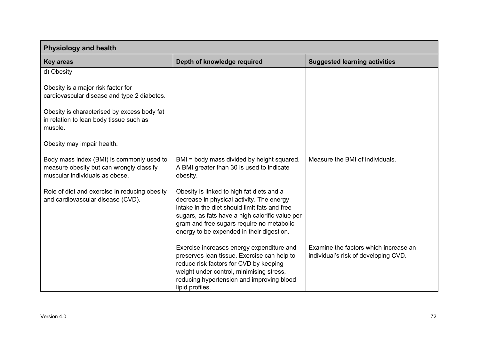| <b>Physiology and health</b>                                                                                            |                                                                                                                                                                                                                                                                                      |                                                                               |
|-------------------------------------------------------------------------------------------------------------------------|--------------------------------------------------------------------------------------------------------------------------------------------------------------------------------------------------------------------------------------------------------------------------------------|-------------------------------------------------------------------------------|
| <b>Key areas</b>                                                                                                        | Depth of knowledge required                                                                                                                                                                                                                                                          | <b>Suggested learning activities</b>                                          |
| d) Obesity                                                                                                              |                                                                                                                                                                                                                                                                                      |                                                                               |
| Obesity is a major risk factor for<br>cardiovascular disease and type 2 diabetes.                                       |                                                                                                                                                                                                                                                                                      |                                                                               |
| Obesity is characterised by excess body fat<br>in relation to lean body tissue such as<br>muscle.                       |                                                                                                                                                                                                                                                                                      |                                                                               |
| Obesity may impair health.                                                                                              |                                                                                                                                                                                                                                                                                      |                                                                               |
| Body mass index (BMI) is commonly used to<br>measure obesity but can wrongly classify<br>muscular individuals as obese. | BMI = body mass divided by height squared.<br>A BMI greater than 30 is used to indicate<br>obesity.                                                                                                                                                                                  | Measure the BMI of individuals.                                               |
| Role of diet and exercise in reducing obesity<br>and cardiovascular disease (CVD).                                      | Obesity is linked to high fat diets and a<br>decrease in physical activity. The energy<br>intake in the diet should limit fats and free<br>sugars, as fats have a high calorific value per<br>gram and free sugars require no metabolic<br>energy to be expended in their digestion. |                                                                               |
|                                                                                                                         | Exercise increases energy expenditure and<br>preserves lean tissue. Exercise can help to<br>reduce risk factors for CVD by keeping<br>weight under control, minimising stress,<br>reducing hypertension and improving blood<br>lipid profiles.                                       | Examine the factors which increase an<br>individual's risk of developing CVD. |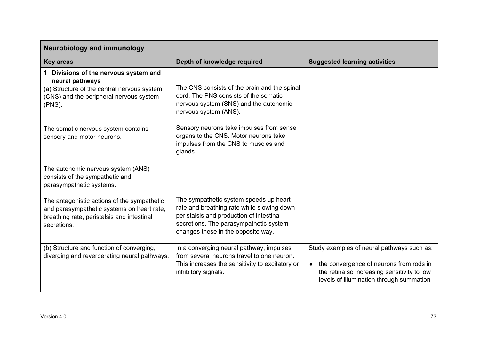| <b>Neurobiology and immunology</b>                                                                                                                           |                                                                                                                                                                                                                  |                                                                                                                                                                                    |
|--------------------------------------------------------------------------------------------------------------------------------------------------------------|------------------------------------------------------------------------------------------------------------------------------------------------------------------------------------------------------------------|------------------------------------------------------------------------------------------------------------------------------------------------------------------------------------|
| <b>Key areas</b>                                                                                                                                             | Depth of knowledge required                                                                                                                                                                                      | <b>Suggested learning activities</b>                                                                                                                                               |
| 1 Divisions of the nervous system and<br>neural pathways<br>(a) Structure of the central nervous system<br>(CNS) and the peripheral nervous system<br>(PNS). | The CNS consists of the brain and the spinal<br>cord. The PNS consists of the somatic<br>nervous system (SNS) and the autonomic<br>nervous system (ANS).                                                         |                                                                                                                                                                                    |
| The somatic nervous system contains<br>sensory and motor neurons.                                                                                            | Sensory neurons take impulses from sense<br>organs to the CNS. Motor neurons take<br>impulses from the CNS to muscles and<br>glands.                                                                             |                                                                                                                                                                                    |
| The autonomic nervous system (ANS)<br>consists of the sympathetic and<br>parasympathetic systems.                                                            |                                                                                                                                                                                                                  |                                                                                                                                                                                    |
| The antagonistic actions of the sympathetic<br>and parasympathetic systems on heart rate,<br>breathing rate, peristalsis and intestinal<br>secretions.       | The sympathetic system speeds up heart<br>rate and breathing rate while slowing down<br>peristalsis and production of intestinal<br>secretions. The parasympathetic system<br>changes these in the opposite way. |                                                                                                                                                                                    |
| (b) Structure and function of converging,<br>diverging and reverberating neural pathways.                                                                    | In a converging neural pathway, impulses<br>from several neurons travel to one neuron.<br>This increases the sensitivity to excitatory or<br>inhibitory signals.                                                 | Study examples of neural pathways such as:<br>• the convergence of neurons from rods in<br>the retina so increasing sensitivity to low<br>levels of illumination through summation |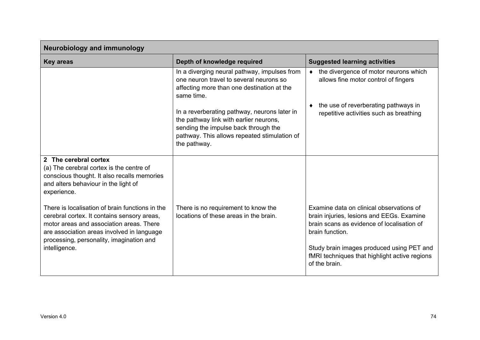| <b>Neurobiology and immunology</b>                                                                                                                                                                                                   |                                                                                                                                                                                                |                                                                                                                                                        |
|--------------------------------------------------------------------------------------------------------------------------------------------------------------------------------------------------------------------------------------|------------------------------------------------------------------------------------------------------------------------------------------------------------------------------------------------|--------------------------------------------------------------------------------------------------------------------------------------------------------|
| <b>Key areas</b>                                                                                                                                                                                                                     | Depth of knowledge required                                                                                                                                                                    | <b>Suggested learning activities</b>                                                                                                                   |
|                                                                                                                                                                                                                                      | In a diverging neural pathway, impulses from<br>one neuron travel to several neurons so<br>affecting more than one destination at the<br>same time.                                            | • the divergence of motor neurons which<br>allows fine motor control of fingers                                                                        |
|                                                                                                                                                                                                                                      | In a reverberating pathway, neurons later in<br>the pathway link with earlier neurons,<br>sending the impulse back through the<br>pathway. This allows repeated stimulation of<br>the pathway. | the use of reverberating pathways in<br>repetitive activities such as breathing                                                                        |
| 2 The cerebral cortex<br>(a) The cerebral cortex is the centre of<br>conscious thought. It also recalls memories<br>and alters behaviour in the light of<br>experience.                                                              |                                                                                                                                                                                                |                                                                                                                                                        |
| There is localisation of brain functions in the<br>cerebral cortex. It contains sensory areas,<br>motor areas and association areas. There<br>are association areas involved in language<br>processing, personality, imagination and | There is no requirement to know the<br>locations of these areas in the brain.                                                                                                                  | Examine data on clinical observations of<br>brain injuries, lesions and EEGs. Examine<br>brain scans as evidence of localisation of<br>brain function. |
| intelligence.                                                                                                                                                                                                                        |                                                                                                                                                                                                | Study brain images produced using PET and<br>fMRI techniques that highlight active regions<br>of the brain.                                            |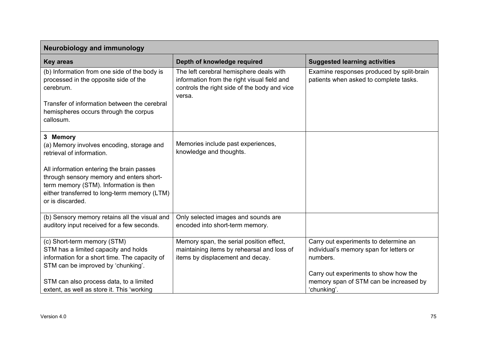| <b>Neurobiology and immunology</b>                                                                                                                                                                  |                                                                                                                                                  |                                                                                                |
|-----------------------------------------------------------------------------------------------------------------------------------------------------------------------------------------------------|--------------------------------------------------------------------------------------------------------------------------------------------------|------------------------------------------------------------------------------------------------|
| <b>Key areas</b>                                                                                                                                                                                    | Depth of knowledge required                                                                                                                      | <b>Suggested learning activities</b>                                                           |
| (b) Information from one side of the body is<br>processed in the opposite side of the<br>cerebrum.                                                                                                  | The left cerebral hemisphere deals with<br>information from the right visual field and<br>controls the right side of the body and vice<br>versa. | Examine responses produced by split-brain<br>patients when asked to complete tasks.            |
| Transfer of information between the cerebral<br>hemispheres occurs through the corpus<br>callosum.                                                                                                  |                                                                                                                                                  |                                                                                                |
| 3 Memory<br>(a) Memory involves encoding, storage and<br>retrieval of information.                                                                                                                  | Memories include past experiences,<br>knowledge and thoughts.                                                                                    |                                                                                                |
| All information entering the brain passes<br>through sensory memory and enters short-<br>term memory (STM). Information is then<br>either transferred to long-term memory (LTM)<br>or is discarded. |                                                                                                                                                  |                                                                                                |
| (b) Sensory memory retains all the visual and<br>auditory input received for a few seconds.                                                                                                         | Only selected images and sounds are<br>encoded into short-term memory.                                                                           |                                                                                                |
| (c) Short-term memory (STM)<br>STM has a limited capacity and holds<br>information for a short time. The capacity of<br>STM can be improved by 'chunking'.                                          | Memory span, the serial position effect,<br>maintaining items by rehearsal and loss of<br>items by displacement and decay.                       | Carry out experiments to determine an<br>individual's memory span for letters or<br>numbers.   |
| STM can also process data, to a limited<br>extent, as well as store it. This 'working                                                                                                               |                                                                                                                                                  | Carry out experiments to show how the<br>memory span of STM can be increased by<br>'chunking'. |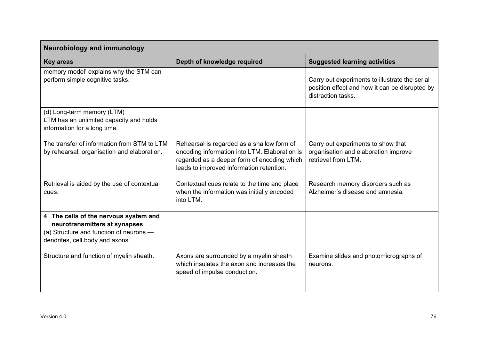| <b>Neurobiology and immunology</b>                                                                                                                   |                                                                                                                                                                                        |                                                                                                                        |
|------------------------------------------------------------------------------------------------------------------------------------------------------|----------------------------------------------------------------------------------------------------------------------------------------------------------------------------------------|------------------------------------------------------------------------------------------------------------------------|
| <b>Key areas</b>                                                                                                                                     | Depth of knowledge required                                                                                                                                                            | <b>Suggested learning activities</b>                                                                                   |
| memory model' explains why the STM can<br>perform simple cognitive tasks.                                                                            |                                                                                                                                                                                        | Carry out experiments to illustrate the serial<br>position effect and how it can be disrupted by<br>distraction tasks. |
| (d) Long-term memory (LTM)<br>LTM has an unlimited capacity and holds<br>information for a long time.                                                |                                                                                                                                                                                        |                                                                                                                        |
| The transfer of information from STM to LTM<br>by rehearsal, organisation and elaboration.                                                           | Rehearsal is regarded as a shallow form of<br>encoding information into LTM. Elaboration is<br>regarded as a deeper form of encoding which<br>leads to improved information retention. | Carry out experiments to show that<br>organisation and elaboration improve<br>retrieval from LTM.                      |
| Retrieval is aided by the use of contextual<br>cues.                                                                                                 | Contextual cues relate to the time and place<br>when the information was initially encoded<br>into LTM.                                                                                | Research memory disorders such as<br>Alzheimer's disease and amnesia.                                                  |
| 4 The cells of the nervous system and<br>neurotransmitters at synapses<br>(a) Structure and function of neurons -<br>dendrites, cell body and axons. |                                                                                                                                                                                        |                                                                                                                        |
| Structure and function of myelin sheath.                                                                                                             | Axons are surrounded by a myelin sheath<br>which insulates the axon and increases the<br>speed of impulse conduction.                                                                  | Examine slides and photomicrographs of<br>neurons.                                                                     |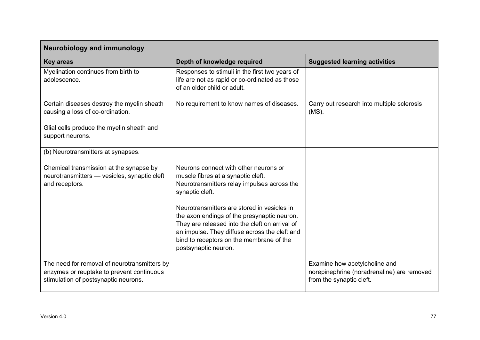| <b>Neurobiology and immunology</b>                                                                                                |                                                                                                                                                                                                                                                                   |                                                                                                         |
|-----------------------------------------------------------------------------------------------------------------------------------|-------------------------------------------------------------------------------------------------------------------------------------------------------------------------------------------------------------------------------------------------------------------|---------------------------------------------------------------------------------------------------------|
| <b>Key areas</b>                                                                                                                  | Depth of knowledge required                                                                                                                                                                                                                                       | <b>Suggested learning activities</b>                                                                    |
| Myelination continues from birth to<br>adolescence.                                                                               | Responses to stimuli in the first two years of<br>life are not as rapid or co-ordinated as those<br>of an older child or adult.                                                                                                                                   |                                                                                                         |
| Certain diseases destroy the myelin sheath<br>causing a loss of co-ordination.                                                    | No requirement to know names of diseases.                                                                                                                                                                                                                         | Carry out research into multiple sclerosis<br>$(MS)$ .                                                  |
| Glial cells produce the myelin sheath and<br>support neurons.                                                                     |                                                                                                                                                                                                                                                                   |                                                                                                         |
| (b) Neurotransmitters at synapses.                                                                                                |                                                                                                                                                                                                                                                                   |                                                                                                         |
| Chemical transmission at the synapse by<br>neurotransmitters - vesicles, synaptic cleft<br>and receptors.                         | Neurons connect with other neurons or<br>muscle fibres at a synaptic cleft.<br>Neurotransmitters relay impulses across the<br>synaptic cleft.                                                                                                                     |                                                                                                         |
|                                                                                                                                   | Neurotransmitters are stored in vesicles in<br>the axon endings of the presynaptic neuron.<br>They are released into the cleft on arrival of<br>an impulse. They diffuse across the cleft and<br>bind to receptors on the membrane of the<br>postsynaptic neuron. |                                                                                                         |
| The need for removal of neurotransmitters by<br>enzymes or reuptake to prevent continuous<br>stimulation of postsynaptic neurons. |                                                                                                                                                                                                                                                                   | Examine how acetylcholine and<br>norepinephrine (noradrenaline) are removed<br>from the synaptic cleft. |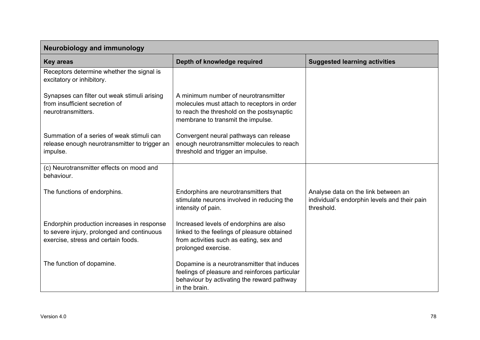| <b>Neurobiology and immunology</b>                                                                                              |                                                                                                                                                                        |                                                                                                   |
|---------------------------------------------------------------------------------------------------------------------------------|------------------------------------------------------------------------------------------------------------------------------------------------------------------------|---------------------------------------------------------------------------------------------------|
| <b>Key areas</b>                                                                                                                | Depth of knowledge required                                                                                                                                            | <b>Suggested learning activities</b>                                                              |
| Receptors determine whether the signal is<br>excitatory or inhibitory.                                                          |                                                                                                                                                                        |                                                                                                   |
| Synapses can filter out weak stimuli arising<br>from insufficient secretion of<br>neurotransmitters.                            | A minimum number of neurotransmitter<br>molecules must attach to receptors in order<br>to reach the threshold on the postsynaptic<br>membrane to transmit the impulse. |                                                                                                   |
| Summation of a series of weak stimuli can<br>release enough neurotransmitter to trigger an<br>impulse.                          | Convergent neural pathways can release<br>enough neurotransmitter molecules to reach<br>threshold and trigger an impulse.                                              |                                                                                                   |
| (c) Neurotransmitter effects on mood and<br>behaviour.                                                                          |                                                                                                                                                                        |                                                                                                   |
| The functions of endorphins.                                                                                                    | Endorphins are neurotransmitters that<br>stimulate neurons involved in reducing the<br>intensity of pain.                                                              | Analyse data on the link between an<br>individual's endorphin levels and their pain<br>threshold. |
| Endorphin production increases in response<br>to severe injury, prolonged and continuous<br>exercise, stress and certain foods. | Increased levels of endorphins are also<br>linked to the feelings of pleasure obtained<br>from activities such as eating, sex and<br>prolonged exercise.               |                                                                                                   |
| The function of dopamine.                                                                                                       | Dopamine is a neurotransmitter that induces<br>feelings of pleasure and reinforces particular<br>behaviour by activating the reward pathway<br>in the brain.           |                                                                                                   |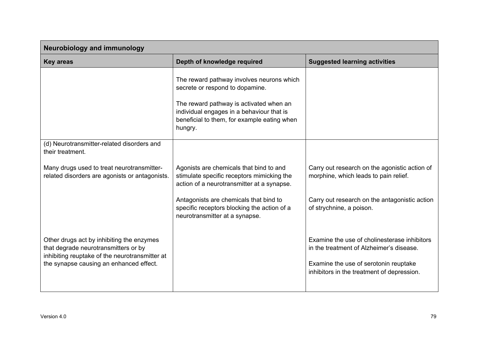| <b>Neurobiology and immunology</b>                                                                                                                                             |                                                                                                                                                                                                                                |                                                                                                                                                                                 |
|--------------------------------------------------------------------------------------------------------------------------------------------------------------------------------|--------------------------------------------------------------------------------------------------------------------------------------------------------------------------------------------------------------------------------|---------------------------------------------------------------------------------------------------------------------------------------------------------------------------------|
| <b>Key areas</b>                                                                                                                                                               | Depth of knowledge required                                                                                                                                                                                                    | <b>Suggested learning activities</b>                                                                                                                                            |
|                                                                                                                                                                                | The reward pathway involves neurons which<br>secrete or respond to dopamine.<br>The reward pathway is activated when an<br>individual engages in a behaviour that is<br>beneficial to them, for example eating when<br>hungry. |                                                                                                                                                                                 |
| (d) Neurotransmitter-related disorders and<br>their treatment.                                                                                                                 |                                                                                                                                                                                                                                |                                                                                                                                                                                 |
| Many drugs used to treat neurotransmitter-<br>related disorders are agonists or antagonists.                                                                                   | Agonists are chemicals that bind to and<br>stimulate specific receptors mimicking the<br>action of a neurotransmitter at a synapse.                                                                                            | Carry out research on the agonistic action of<br>morphine, which leads to pain relief.                                                                                          |
|                                                                                                                                                                                | Antagonists are chemicals that bind to<br>specific receptors blocking the action of a<br>neurotransmitter at a synapse.                                                                                                        | Carry out research on the antagonistic action<br>of strychnine, a poison.                                                                                                       |
| Other drugs act by inhibiting the enzymes<br>that degrade neurotransmitters or by<br>inhibiting reuptake of the neurotransmitter at<br>the synapse causing an enhanced effect. |                                                                                                                                                                                                                                | Examine the use of cholinesterase inhibitors<br>in the treatment of Alzheimer's disease.<br>Examine the use of serotonin reuptake<br>inhibitors in the treatment of depression. |
|                                                                                                                                                                                |                                                                                                                                                                                                                                |                                                                                                                                                                                 |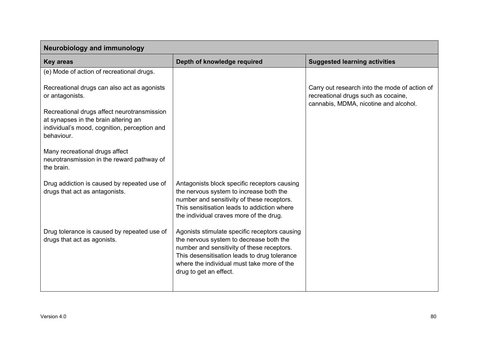| <b>Neurobiology and immunology</b>                                                                                                                |                                                                                                                                                                                                                                                                |                                                                                                                               |
|---------------------------------------------------------------------------------------------------------------------------------------------------|----------------------------------------------------------------------------------------------------------------------------------------------------------------------------------------------------------------------------------------------------------------|-------------------------------------------------------------------------------------------------------------------------------|
| <b>Key areas</b>                                                                                                                                  | Depth of knowledge required                                                                                                                                                                                                                                    | <b>Suggested learning activities</b>                                                                                          |
| (e) Mode of action of recreational drugs.                                                                                                         |                                                                                                                                                                                                                                                                |                                                                                                                               |
| Recreational drugs can also act as agonists<br>or antagonists.                                                                                    |                                                                                                                                                                                                                                                                | Carry out research into the mode of action of<br>recreational drugs such as cocaine,<br>cannabis, MDMA, nicotine and alcohol. |
| Recreational drugs affect neurotransmission<br>at synapses in the brain altering an<br>individual's mood, cognition, perception and<br>behaviour. |                                                                                                                                                                                                                                                                |                                                                                                                               |
| Many recreational drugs affect<br>neurotransmission in the reward pathway of<br>the brain.                                                        |                                                                                                                                                                                                                                                                |                                                                                                                               |
| Drug addiction is caused by repeated use of<br>drugs that act as antagonists.                                                                     | Antagonists block specific receptors causing<br>the nervous system to increase both the<br>number and sensitivity of these receptors.<br>This sensitisation leads to addiction where<br>the individual craves more of the drug.                                |                                                                                                                               |
| Drug tolerance is caused by repeated use of<br>drugs that act as agonists.                                                                        | Agonists stimulate specific receptors causing<br>the nervous system to decrease both the<br>number and sensitivity of these receptors.<br>This desensitisation leads to drug tolerance<br>where the individual must take more of the<br>drug to get an effect. |                                                                                                                               |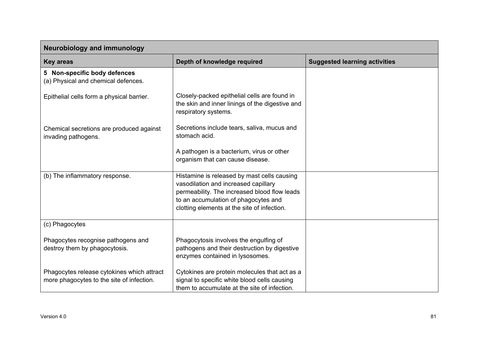| <b>Neurobiology and immunology</b>                                                      |                                                                                                                                                                                                                            |                                      |
|-----------------------------------------------------------------------------------------|----------------------------------------------------------------------------------------------------------------------------------------------------------------------------------------------------------------------------|--------------------------------------|
| <b>Key areas</b>                                                                        | Depth of knowledge required                                                                                                                                                                                                | <b>Suggested learning activities</b> |
| 5 Non-specific body defences<br>(a) Physical and chemical defences.                     |                                                                                                                                                                                                                            |                                      |
| Epithelial cells form a physical barrier.                                               | Closely-packed epithelial cells are found in<br>the skin and inner linings of the digestive and<br>respiratory systems.                                                                                                    |                                      |
| Chemical secretions are produced against<br>invading pathogens.                         | Secretions include tears, saliva, mucus and<br>stomach acid.                                                                                                                                                               |                                      |
|                                                                                         | A pathogen is a bacterium, virus or other<br>organism that can cause disease.                                                                                                                                              |                                      |
| (b) The inflammatory response.                                                          | Histamine is released by mast cells causing<br>vasodilation and increased capillary<br>permeability. The increased blood flow leads<br>to an accumulation of phagocytes and<br>clotting elements at the site of infection. |                                      |
| (c) Phagocytes                                                                          |                                                                                                                                                                                                                            |                                      |
| Phagocytes recognise pathogens and<br>destroy them by phagocytosis.                     | Phagocytosis involves the engulfing of<br>pathogens and their destruction by digestive<br>enzymes contained in lysosomes.                                                                                                  |                                      |
| Phagocytes release cytokines which attract<br>more phagocytes to the site of infection. | Cytokines are protein molecules that act as a<br>signal to specific white blood cells causing<br>them to accumulate at the site of infection.                                                                              |                                      |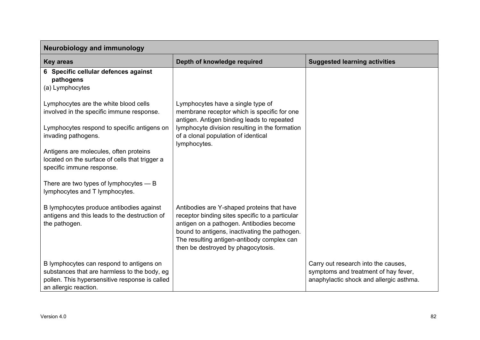| <b>Neurobiology and immunology</b>                                                                                                                                                                                                                                                |                                                                                                                                                                                                                                         |                                                                                                                        |
|-----------------------------------------------------------------------------------------------------------------------------------------------------------------------------------------------------------------------------------------------------------------------------------|-----------------------------------------------------------------------------------------------------------------------------------------------------------------------------------------------------------------------------------------|------------------------------------------------------------------------------------------------------------------------|
| <b>Key areas</b>                                                                                                                                                                                                                                                                  | Depth of knowledge required                                                                                                                                                                                                             | <b>Suggested learning activities</b>                                                                                   |
| 6 Specific cellular defences against<br>pathogens<br>(a) Lymphocytes                                                                                                                                                                                                              |                                                                                                                                                                                                                                         |                                                                                                                        |
| Lymphocytes are the white blood cells<br>involved in the specific immune response.<br>Lymphocytes respond to specific antigens on<br>invading pathogens.<br>Antigens are molecules, often proteins<br>located on the surface of cells that trigger a<br>specific immune response. | Lymphocytes have a single type of<br>membrane receptor which is specific for one<br>antigen. Antigen binding leads to repeated<br>lymphocyte division resulting in the formation<br>of a clonal population of identical<br>lymphocytes. |                                                                                                                        |
| There are two types of lymphocytes $- B$<br>lymphocytes and T lymphocytes.<br>B lymphocytes produce antibodies against<br>antigens and this leads to the destruction of<br>the pathogen.                                                                                          | Antibodies are Y-shaped proteins that have<br>receptor binding sites specific to a particular<br>antigen on a pathogen. Antibodies become                                                                                               |                                                                                                                        |
| B lymphocytes can respond to antigens on<br>substances that are harmless to the body, eg<br>pollen. This hypersensitive response is called<br>an allergic reaction.                                                                                                               | bound to antigens, inactivating the pathogen.<br>The resulting antigen-antibody complex can<br>then be destroyed by phagocytosis.                                                                                                       | Carry out research into the causes,<br>symptoms and treatment of hay fever,<br>anaphylactic shock and allergic asthma. |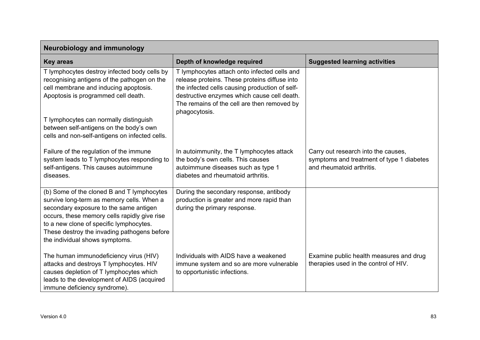| <b>Neurobiology and immunology</b>                                                                                                                                                                                                                                                                            |                                                                                                                                                                                                                                                                |                                                                                                               |  |
|---------------------------------------------------------------------------------------------------------------------------------------------------------------------------------------------------------------------------------------------------------------------------------------------------------------|----------------------------------------------------------------------------------------------------------------------------------------------------------------------------------------------------------------------------------------------------------------|---------------------------------------------------------------------------------------------------------------|--|
| <b>Key areas</b>                                                                                                                                                                                                                                                                                              | Depth of knowledge required                                                                                                                                                                                                                                    | <b>Suggested learning activities</b>                                                                          |  |
| T lymphocytes destroy infected body cells by<br>recognising antigens of the pathogen on the<br>cell membrane and inducing apoptosis.<br>Apoptosis is programmed cell death.                                                                                                                                   | T lymphocytes attach onto infected cells and<br>release proteins. These proteins diffuse into<br>the infected cells causing production of self-<br>destructive enzymes which cause cell death.<br>The remains of the cell are then removed by<br>phagocytosis. |                                                                                                               |  |
| T lymphocytes can normally distinguish<br>between self-antigens on the body's own<br>cells and non-self-antigens on infected cells.                                                                                                                                                                           |                                                                                                                                                                                                                                                                |                                                                                                               |  |
| Failure of the regulation of the immune<br>system leads to T lymphocytes responding to<br>self-antigens. This causes autoimmune<br>diseases.                                                                                                                                                                  | In autoimmunity, the T lymphocytes attack<br>the body's own cells. This causes<br>autoimmune diseases such as type 1<br>diabetes and rheumatoid arthritis.                                                                                                     | Carry out research into the causes,<br>symptoms and treatment of type 1 diabetes<br>and rheumatoid arthritis. |  |
| (b) Some of the cloned B and T lymphocytes<br>survive long-term as memory cells. When a<br>secondary exposure to the same antigen<br>occurs, these memory cells rapidly give rise<br>to a new clone of specific lymphocytes.<br>These destroy the invading pathogens before<br>the individual shows symptoms. | During the secondary response, antibody<br>production is greater and more rapid than<br>during the primary response.                                                                                                                                           |                                                                                                               |  |
| The human immunodeficiency virus (HIV)<br>attacks and destroys T lymphocytes. HIV<br>causes depletion of T lymphocytes which<br>leads to the development of AIDS (acquired<br>immune deficiency syndrome).                                                                                                    | Individuals with AIDS have a weakened<br>immune system and so are more vulnerable<br>to opportunistic infections.                                                                                                                                              | Examine public health measures and drug<br>therapies used in the control of HIV.                              |  |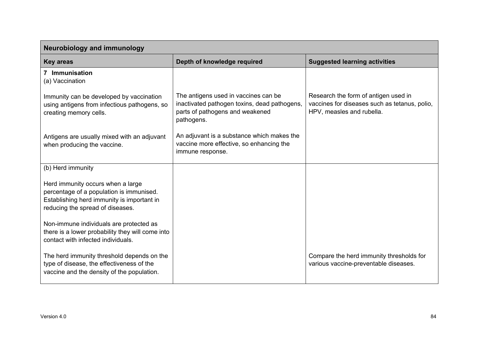| <b>Neurobiology and immunology</b>                                                                                                                              |                                                                                                                                       |                                                                                                                    |  |
|-----------------------------------------------------------------------------------------------------------------------------------------------------------------|---------------------------------------------------------------------------------------------------------------------------------------|--------------------------------------------------------------------------------------------------------------------|--|
| <b>Key areas</b>                                                                                                                                                | Depth of knowledge required                                                                                                           | <b>Suggested learning activities</b>                                                                               |  |
| 7 Immunisation<br>(a) Vaccination                                                                                                                               |                                                                                                                                       |                                                                                                                    |  |
| Immunity can be developed by vaccination<br>using antigens from infectious pathogens, so<br>creating memory cells.                                              | The antigens used in vaccines can be<br>inactivated pathogen toxins, dead pathogens,<br>parts of pathogens and weakened<br>pathogens. | Research the form of antigen used in<br>vaccines for diseases such as tetanus, polio,<br>HPV, measles and rubella. |  |
| Antigens are usually mixed with an adjuvant<br>when producing the vaccine.                                                                                      | An adjuvant is a substance which makes the<br>vaccine more effective, so enhancing the<br>immune response.                            |                                                                                                                    |  |
| (b) Herd immunity                                                                                                                                               |                                                                                                                                       |                                                                                                                    |  |
| Herd immunity occurs when a large<br>percentage of a population is immunised.<br>Establishing herd immunity is important in<br>reducing the spread of diseases. |                                                                                                                                       |                                                                                                                    |  |
| Non-immune individuals are protected as<br>there is a lower probability they will come into<br>contact with infected individuals.                               |                                                                                                                                       |                                                                                                                    |  |
| The herd immunity threshold depends on the<br>type of disease, the effectiveness of the<br>vaccine and the density of the population.                           |                                                                                                                                       | Compare the herd immunity thresholds for<br>various vaccine-preventable diseases.                                  |  |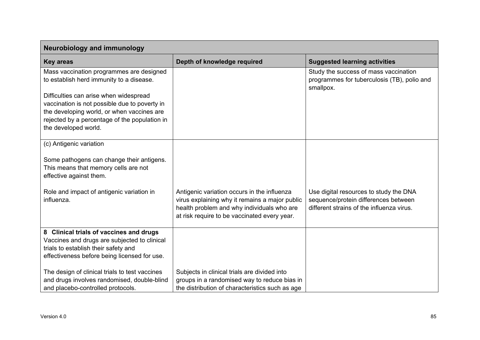| <b>Neurobiology and immunology</b>                                                                                                                                                                                                                                                                     |                                                                                                                                                                                             |                                                                                                                             |  |
|--------------------------------------------------------------------------------------------------------------------------------------------------------------------------------------------------------------------------------------------------------------------------------------------------------|---------------------------------------------------------------------------------------------------------------------------------------------------------------------------------------------|-----------------------------------------------------------------------------------------------------------------------------|--|
| <b>Key areas</b>                                                                                                                                                                                                                                                                                       | Depth of knowledge required                                                                                                                                                                 | <b>Suggested learning activities</b>                                                                                        |  |
| Mass vaccination programmes are designed<br>to establish herd immunity to a disease.<br>Difficulties can arise when widespread<br>vaccination is not possible due to poverty in<br>the developing world, or when vaccines are<br>rejected by a percentage of the population in<br>the developed world. |                                                                                                                                                                                             | Study the success of mass vaccination<br>programmes for tuberculosis (TB), polio and<br>smallpox.                           |  |
| (c) Antigenic variation                                                                                                                                                                                                                                                                                |                                                                                                                                                                                             |                                                                                                                             |  |
| Some pathogens can change their antigens.<br>This means that memory cells are not<br>effective against them.                                                                                                                                                                                           |                                                                                                                                                                                             |                                                                                                                             |  |
| Role and impact of antigenic variation in<br>influenza.                                                                                                                                                                                                                                                | Antigenic variation occurs in the influenza<br>virus explaining why it remains a major public<br>health problem and why individuals who are<br>at risk require to be vaccinated every year. | Use digital resources to study the DNA<br>sequence/protein differences between<br>different strains of the influenza virus. |  |
| 8 Clinical trials of vaccines and drugs<br>Vaccines and drugs are subjected to clinical<br>trials to establish their safety and<br>effectiveness before being licensed for use.                                                                                                                        |                                                                                                                                                                                             |                                                                                                                             |  |
| The design of clinical trials to test vaccines<br>and drugs involves randomised, double-blind<br>and placebo-controlled protocols.                                                                                                                                                                     | Subjects in clinical trials are divided into<br>groups in a randomised way to reduce bias in<br>the distribution of characteristics such as age                                             |                                                                                                                             |  |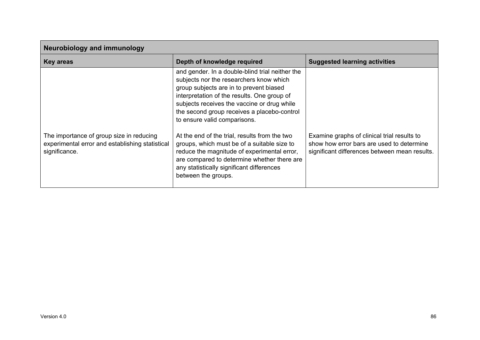| <b>Neurobiology and immunology</b>                                                                           |                                                                                                                                                                                                                                                                                                                                                                                                                                                                                                                                                                                      |                                                                                                                                           |  |
|--------------------------------------------------------------------------------------------------------------|--------------------------------------------------------------------------------------------------------------------------------------------------------------------------------------------------------------------------------------------------------------------------------------------------------------------------------------------------------------------------------------------------------------------------------------------------------------------------------------------------------------------------------------------------------------------------------------|-------------------------------------------------------------------------------------------------------------------------------------------|--|
| <b>Key areas</b>                                                                                             | Depth of knowledge required<br><b>Suggested learning activities</b>                                                                                                                                                                                                                                                                                                                                                                                                                                                                                                                  |                                                                                                                                           |  |
| The importance of group size in reducing<br>experimental error and establishing statistical<br>significance. | and gender. In a double-blind trial neither the<br>subjects nor the researchers know which<br>group subjects are in to prevent biased<br>interpretation of the results. One group of<br>subjects receives the vaccine or drug while<br>the second group receives a placebo-control<br>to ensure valid comparisons.<br>At the end of the trial, results from the two<br>groups, which must be of a suitable size to<br>reduce the magnitude of experimental error,<br>are compared to determine whether there are<br>any statistically significant differences<br>between the groups. | Examine graphs of clinical trial results to<br>show how error bars are used to determine<br>significant differences between mean results. |  |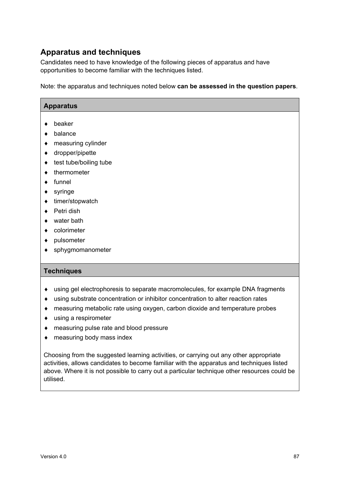### **Apparatus and techniques**

Candidates need to have knowledge of the following pieces of apparatus and have opportunities to become familiar with the techniques listed.

Note: the apparatus and techniques noted below **can be assessed in the question papers**.

| <b>Apparatus</b>                                                                 |
|----------------------------------------------------------------------------------|
| beaker                                                                           |
|                                                                                  |
| balance                                                                          |
| measuring cylinder                                                               |
| dropper/pipette                                                                  |
| test tube/boiling tube                                                           |
| thermometer                                                                      |
| funnel                                                                           |
| syringe                                                                          |
| timer/stopwatch                                                                  |
| Petri dish                                                                       |
| water bath                                                                       |
| colorimeter                                                                      |
| pulsometer                                                                       |
| sphygmomanometer                                                                 |
|                                                                                  |
| <b>Techniques</b>                                                                |
|                                                                                  |
| using gel electrophoresis to separate macromolecules, for example DNA fragments  |
| using substrate concentration or inhibitor concentration to alter reaction rates |

- ♦ measuring metabolic rate using oxygen, carbon dioxide and temperature probes
- ♦ using a respirometer
- ♦ measuring pulse rate and blood pressure
- ♦ measuring body mass index

Choosing from the suggested learning activities, or carrying out any other appropriate activities, allows candidates to become familiar with the apparatus and techniques listed above. Where it is not possible to carry out a particular technique other resources could be utilised.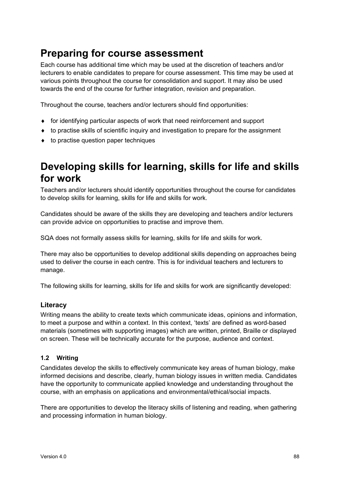## **Preparing for course assessment**

Each course has additional time which may be used at the discretion of teachers and/or lecturers to enable candidates to prepare for course assessment. This time may be used at various points throughout the course for consolidation and support. It may also be used towards the end of the course for further integration, revision and preparation.

Throughout the course, teachers and/or lecturers should find opportunities:

- ♦ for identifying particular aspects of work that need reinforcement and support
- ♦ to practise skills of scientific inquiry and investigation to prepare for the assignment
- ♦ to practise question paper techniques

## **Developing skills for learning, skills for life and skills for work**

Teachers and/or lecturers should identify opportunities throughout the course for candidates to develop skills for learning, skills for life and skills for work.

Candidates should be aware of the skills they are developing and teachers and/or lecturers can provide advice on opportunities to practise and improve them.

SQA does not formally assess skills for learning, skills for life and skills for work.

There may also be opportunities to develop additional skills depending on approaches being used to deliver the course in each centre. This is for individual teachers and lecturers to manage.

The following skills for learning, skills for life and skills for work are significantly developed:

#### **Literacy**

Writing means the ability to create texts which communicate ideas, opinions and information, to meet a purpose and within a context. In this context, 'texts' are defined as word-based materials (sometimes with supporting images) which are written, printed, Braille or displayed on screen. These will be technically accurate for the purpose, audience and context.

#### **1.2 Writing**

Candidates develop the skills to effectively communicate key areas of human biology, make informed decisions and describe, clearly, human biology issues in written media. Candidates have the opportunity to communicate applied knowledge and understanding throughout the course, with an emphasis on applications and environmental/ethical/social impacts.

There are opportunities to develop the literacy skills of listening and reading, when gathering and processing information in human biology.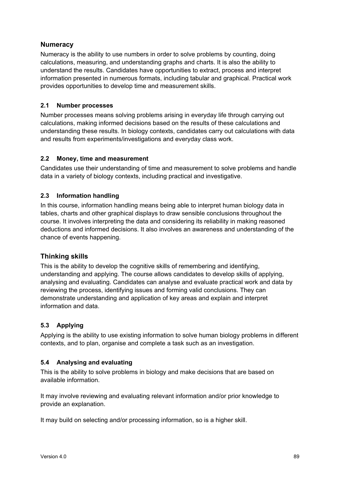#### **Numeracy**

Numeracy is the ability to use numbers in order to solve problems by counting, doing calculations, measuring, and understanding graphs and charts. It is also the ability to understand the results. Candidates have opportunities to extract, process and interpret information presented in numerous formats, including tabular and graphical. Practical work provides opportunities to develop time and measurement skills.

#### **2.1 Number processes**

Number processes means solving problems arising in everyday life through carrying out calculations, making informed decisions based on the results of these calculations and understanding these results. In biology contexts, candidates carry out calculations with data and results from experiments/investigations and everyday class work.

#### **2.2 Money, time and measurement**

Candidates use their understanding of time and measurement to solve problems and handle data in a variety of biology contexts, including practical and investigative.

#### **2.3 Information handling**

In this course, information handling means being able to interpret human biology data in tables, charts and other graphical displays to draw sensible conclusions throughout the course. It involves interpreting the data and considering its reliability in making reasoned deductions and informed decisions. It also involves an awareness and understanding of the chance of events happening.

#### **Thinking skills**

This is the ability to develop the cognitive skills of remembering and identifying, understanding and applying. The course allows candidates to develop skills of applying, analysing and evaluating. Candidates can analyse and evaluate practical work and data by reviewing the process, identifying issues and forming valid conclusions. They can demonstrate understanding and application of key areas and explain and interpret information and data.

#### **5.3 Applying**

Applying is the ability to use existing information to solve human biology problems in different contexts, and to plan, organise and complete a task such as an investigation.

#### **5.4 Analysing and evaluating**

This is the ability to solve problems in biology and make decisions that are based on available information.

It may involve reviewing and evaluating relevant information and/or prior knowledge to provide an explanation.

It may build on selecting and/or processing information, so is a higher skill.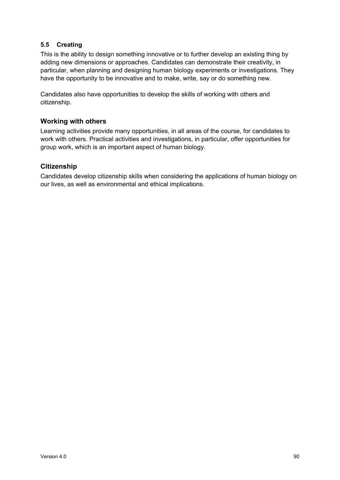#### **5.5 Creating**

This is the ability to design something innovative or to further develop an existing thing by adding new dimensions or approaches. Candidates can demonstrate their creativity, in particular, when planning and designing human biology experiments or investigations. They have the opportunity to be innovative and to make, write, say or do something new.

Candidates also have opportunities to develop the skills of working with others and citizenship.

#### **Working with others**

Learning activities provide many opportunities, in all areas of the course, for candidates to work with others. Practical activities and investigations, in particular, offer opportunities for group work, which is an important aspect of human biology.

#### **Citizenship**

Candidates develop citizenship skills when considering the applications of human biology on our lives, as well as environmental and ethical implications.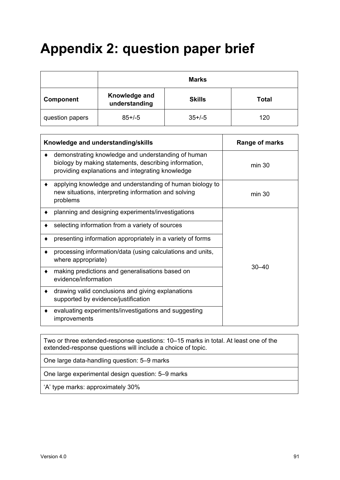# **Appendix 2: question paper brief**

|                 | <b>Marks</b>                   |               |              |
|-----------------|--------------------------------|---------------|--------------|
| Component       | Knowledge and<br>understanding | <b>Skills</b> | <b>Total</b> |
| question papers | $85 + (-5)$                    | $35+/-5$      | 120          |

| Knowledge and understanding/skills                                                                                                                              | Range of marks |
|-----------------------------------------------------------------------------------------------------------------------------------------------------------------|----------------|
| demonstrating knowledge and understanding of human<br>biology by making statements, describing information,<br>providing explanations and integrating knowledge | min 30         |
| applying knowledge and understanding of human biology to<br>new situations, interpreting information and solving<br>problems                                    | min 30         |
| planning and designing experiments/investigations                                                                                                               |                |
| selecting information from a variety of sources                                                                                                                 |                |
| presenting information appropriately in a variety of forms                                                                                                      |                |
| processing information/data (using calculations and units,<br>where appropriate)                                                                                |                |
| making predictions and generalisations based on<br>evidence/information                                                                                         | $30 - 40$      |
| drawing valid conclusions and giving explanations<br>supported by evidence/justification                                                                        |                |
| evaluating experiments/investigations and suggesting<br>improvements                                                                                            |                |

Two or three extended-response questions: 10–15 marks in total. At least one of the extended-response questions will include a choice of topic.

One large data-handling question: 5–9 marks

One large experimental design question: 5–9 marks

'A' type marks: approximately 30%